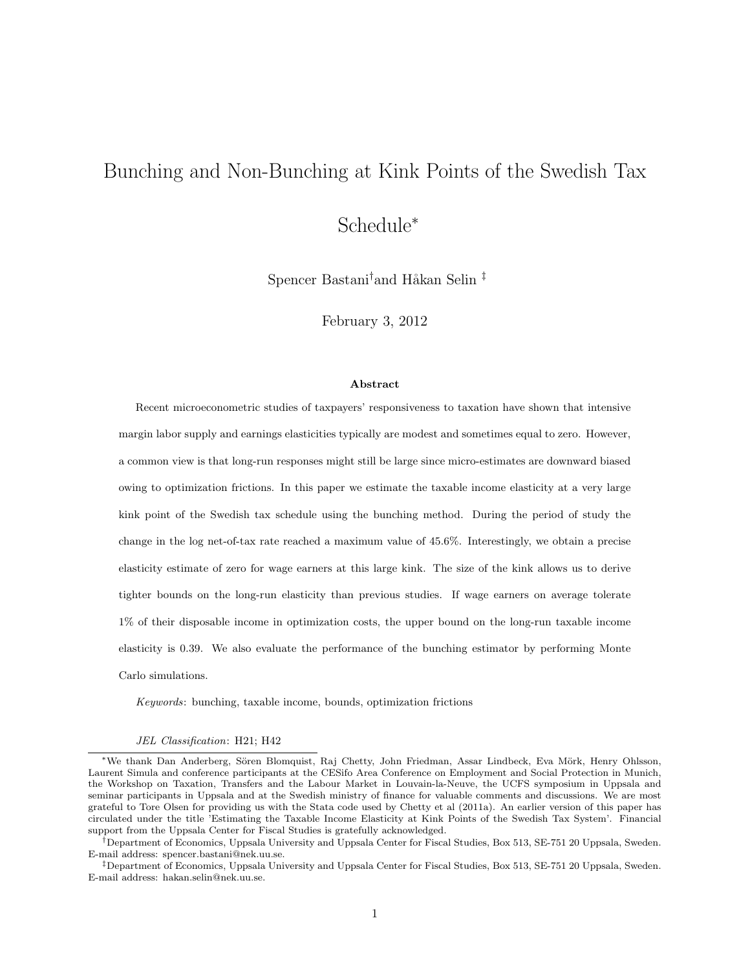## Bunching and Non-Bunching at Kink Points of the Swedish Tax

# Schedule<sup>∗</sup>

Spencer Bastani<sup>†</sup>and Håkan Selin<sup>‡</sup>

February 3, 2012

#### Abstract

Recent microeconometric studies of taxpayers' responsiveness to taxation have shown that intensive margin labor supply and earnings elasticities typically are modest and sometimes equal to zero. However, a common view is that long-run responses might still be large since micro-estimates are downward biased owing to optimization frictions. In this paper we estimate the taxable income elasticity at a very large kink point of the Swedish tax schedule using the bunching method. During the period of study the change in the log net-of-tax rate reached a maximum value of 45.6%. Interestingly, we obtain a precise elasticity estimate of zero for wage earners at this large kink. The size of the kink allows us to derive tighter bounds on the long-run elasticity than previous studies. If wage earners on average tolerate 1% of their disposable income in optimization costs, the upper bound on the long-run taxable income elasticity is 0.39. We also evaluate the performance of the bunching estimator by performing Monte Carlo simulations.

Keywords: bunching, taxable income, bounds, optimization frictions

JEL Classification: H21; H42

<sup>∗</sup>We thank Dan Anderberg, S¨oren Blomquist, Raj Chetty, John Friedman, Assar Lindbeck, Eva M¨ork, Henry Ohlsson, Laurent Simula and conference participants at the CESifo Area Conference on Employment and Social Protection in Munich, the Workshop on Taxation, Transfers and the Labour Market in Louvain-la-Neuve, the UCFS symposium in Uppsala and seminar participants in Uppsala and at the Swedish ministry of finance for valuable comments and discussions. We are most grateful to Tore Olsen for providing us with the Stata code used by Chetty et al (2011a). An earlier version of this paper has circulated under the title 'Estimating the Taxable Income Elasticity at Kink Points of the Swedish Tax System'. Financial support from the Uppsala Center for Fiscal Studies is gratefully acknowledged.

<sup>†</sup>Department of Economics, Uppsala University and Uppsala Center for Fiscal Studies, Box 513, SE-751 20 Uppsala, Sweden. E-mail address: spencer.bastani@nek.uu.se.

<sup>‡</sup>Department of Economics, Uppsala University and Uppsala Center for Fiscal Studies, Box 513, SE-751 20 Uppsala, Sweden. E-mail address: hakan.selin@nek.uu.se.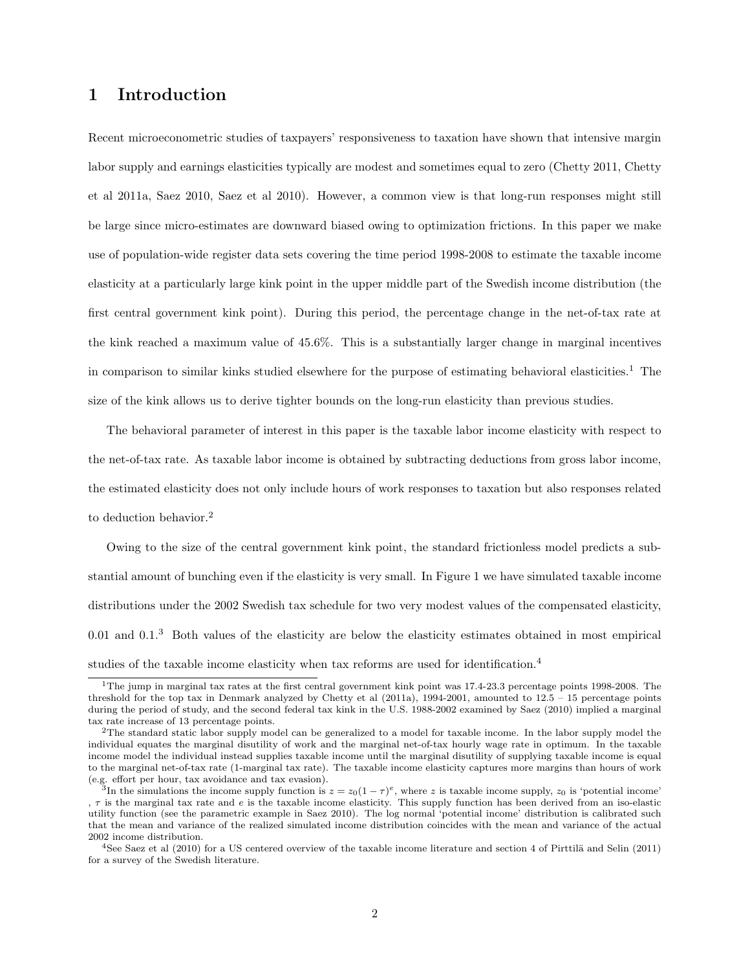### 1 Introduction

Recent microeconometric studies of taxpayers' responsiveness to taxation have shown that intensive margin labor supply and earnings elasticities typically are modest and sometimes equal to zero (Chetty 2011, Chetty et al 2011a, Saez 2010, Saez et al 2010). However, a common view is that long-run responses might still be large since micro-estimates are downward biased owing to optimization frictions. In this paper we make use of population-wide register data sets covering the time period 1998-2008 to estimate the taxable income elasticity at a particularly large kink point in the upper middle part of the Swedish income distribution (the first central government kink point). During this period, the percentage change in the net-of-tax rate at the kink reached a maximum value of 45.6%. This is a substantially larger change in marginal incentives in comparison to similar kinks studied elsewhere for the purpose of estimating behavioral elasticities.<sup>1</sup> The size of the kink allows us to derive tighter bounds on the long-run elasticity than previous studies.

The behavioral parameter of interest in this paper is the taxable labor income elasticity with respect to the net-of-tax rate. As taxable labor income is obtained by subtracting deductions from gross labor income, the estimated elasticity does not only include hours of work responses to taxation but also responses related to deduction behavior.<sup>2</sup>

Owing to the size of the central government kink point, the standard frictionless model predicts a substantial amount of bunching even if the elasticity is very small. In Figure 1 we have simulated taxable income distributions under the 2002 Swedish tax schedule for two very modest values of the compensated elasticity,  $0.01$  and  $0.1<sup>3</sup>$  Both values of the elasticity are below the elasticity estimates obtained in most empirical studies of the taxable income elasticity when tax reforms are used for identification.<sup>4</sup>

<sup>1</sup>The jump in marginal tax rates at the first central government kink point was 17.4-23.3 percentage points 1998-2008. The threshold for the top tax in Denmark analyzed by Chetty et al (2011a), 1994-2001, amounted to 12.5 – 15 percentage points during the period of study, and the second federal tax kink in the U.S. 1988-2002 examined by Saez (2010) implied a marginal tax rate increase of 13 percentage points.

<sup>2</sup>The standard static labor supply model can be generalized to a model for taxable income. In the labor supply model the individual equates the marginal disutility of work and the marginal net-of-tax hourly wage rate in optimum. In the taxable income model the individual instead supplies taxable income until the marginal disutility of supplying taxable income is equal to the marginal net-of-tax rate (1-marginal tax rate). The taxable income elasticity captures more margins than hours of work (e.g. effort per hour, tax avoidance and tax evasion).

<sup>&</sup>lt;sup>3</sup>In the simulations the income supply function is  $z = z_0(1-\tau)^e$ , where z is taxable income supply, z<sub>0</sub> is 'potential income' ,  $\tau$  is the marginal tax rate and e is the taxable income elasticity. This supply function has been derived from an iso-elastic utility function (see the parametric example in Saez 2010). The log normal 'potential income' distribution is calibrated such that the mean and variance of the realized simulated income distribution coincides with the mean and variance of the actual 2002 income distribution.

 $4$ See Saez et al (2010) for a US centered overview of the taxable income literature and section 4 of Pirttilä and Selin (2011) for a survey of the Swedish literature.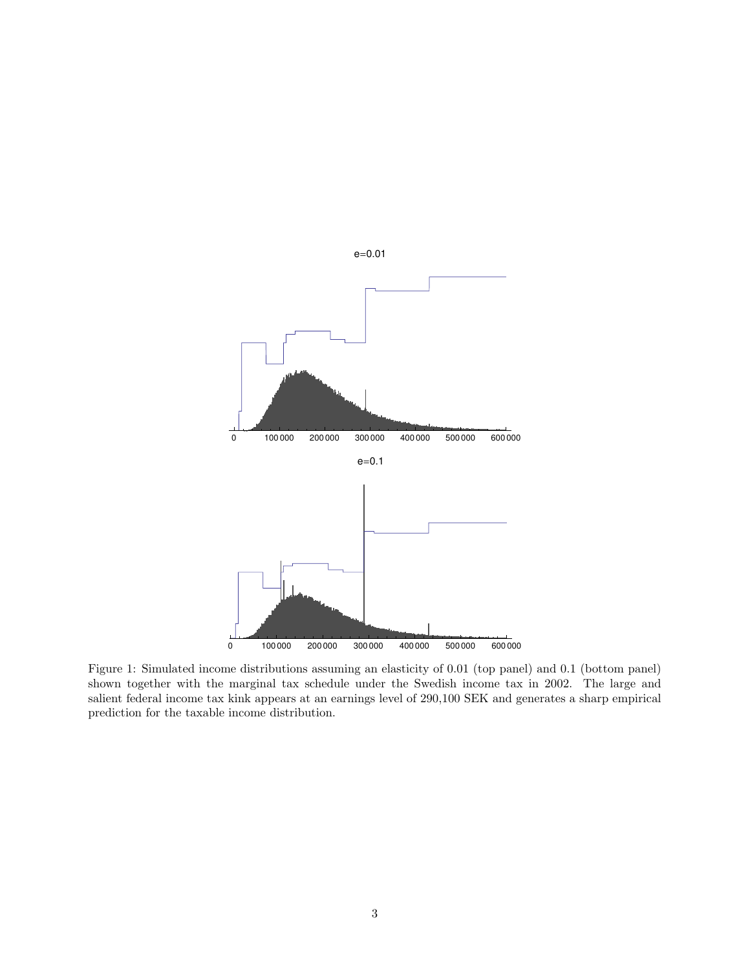

Figure 1: Simulated income distributions assuming an elasticity of 0.01 (top panel) and 0.1 (bottom panel) shown together with the marginal tax schedule under the Swedish income tax in 2002. The large and salient federal income tax kink appears at an earnings level of 290,100 SEK and generates a sharp empirical prediction for the taxable income distribution.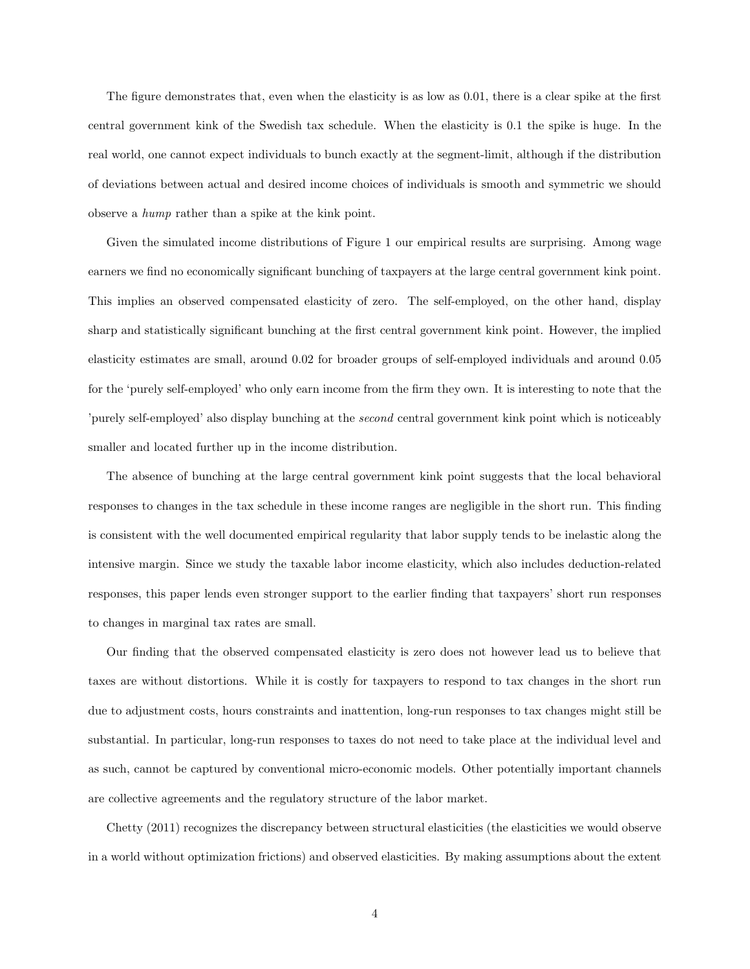The figure demonstrates that, even when the elasticity is as low as 0.01, there is a clear spike at the first central government kink of the Swedish tax schedule. When the elasticity is 0.1 the spike is huge. In the real world, one cannot expect individuals to bunch exactly at the segment-limit, although if the distribution of deviations between actual and desired income choices of individuals is smooth and symmetric we should observe a hump rather than a spike at the kink point.

Given the simulated income distributions of Figure 1 our empirical results are surprising. Among wage earners we find no economically significant bunching of taxpayers at the large central government kink point. This implies an observed compensated elasticity of zero. The self-employed, on the other hand, display sharp and statistically significant bunching at the first central government kink point. However, the implied elasticity estimates are small, around 0.02 for broader groups of self-employed individuals and around 0.05 for the 'purely self-employed' who only earn income from the firm they own. It is interesting to note that the 'purely self-employed' also display bunching at the second central government kink point which is noticeably smaller and located further up in the income distribution.

The absence of bunching at the large central government kink point suggests that the local behavioral responses to changes in the tax schedule in these income ranges are negligible in the short run. This finding is consistent with the well documented empirical regularity that labor supply tends to be inelastic along the intensive margin. Since we study the taxable labor income elasticity, which also includes deduction-related responses, this paper lends even stronger support to the earlier finding that taxpayers' short run responses to changes in marginal tax rates are small.

Our finding that the observed compensated elasticity is zero does not however lead us to believe that taxes are without distortions. While it is costly for taxpayers to respond to tax changes in the short run due to adjustment costs, hours constraints and inattention, long-run responses to tax changes might still be substantial. In particular, long-run responses to taxes do not need to take place at the individual level and as such, cannot be captured by conventional micro-economic models. Other potentially important channels are collective agreements and the regulatory structure of the labor market.

Chetty (2011) recognizes the discrepancy between structural elasticities (the elasticities we would observe in a world without optimization frictions) and observed elasticities. By making assumptions about the extent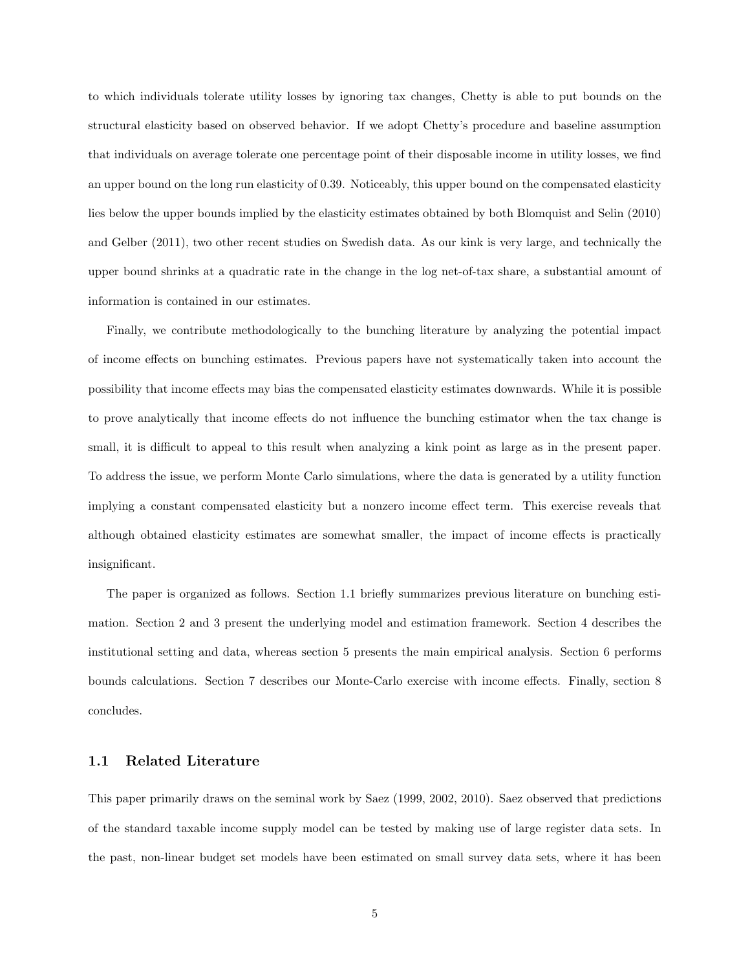to which individuals tolerate utility losses by ignoring tax changes, Chetty is able to put bounds on the structural elasticity based on observed behavior. If we adopt Chetty's procedure and baseline assumption that individuals on average tolerate one percentage point of their disposable income in utility losses, we find an upper bound on the long run elasticity of 0.39. Noticeably, this upper bound on the compensated elasticity lies below the upper bounds implied by the elasticity estimates obtained by both Blomquist and Selin (2010) and Gelber (2011), two other recent studies on Swedish data. As our kink is very large, and technically the upper bound shrinks at a quadratic rate in the change in the log net-of-tax share, a substantial amount of information is contained in our estimates.

Finally, we contribute methodologically to the bunching literature by analyzing the potential impact of income effects on bunching estimates. Previous papers have not systematically taken into account the possibility that income effects may bias the compensated elasticity estimates downwards. While it is possible to prove analytically that income effects do not influence the bunching estimator when the tax change is small, it is difficult to appeal to this result when analyzing a kink point as large as in the present paper. To address the issue, we perform Monte Carlo simulations, where the data is generated by a utility function implying a constant compensated elasticity but a nonzero income effect term. This exercise reveals that although obtained elasticity estimates are somewhat smaller, the impact of income effects is practically insignificant.

The paper is organized as follows. Section 1.1 briefly summarizes previous literature on bunching estimation. Section 2 and 3 present the underlying model and estimation framework. Section 4 describes the institutional setting and data, whereas section 5 presents the main empirical analysis. Section 6 performs bounds calculations. Section 7 describes our Monte-Carlo exercise with income effects. Finally, section 8 concludes.

#### 1.1 Related Literature

This paper primarily draws on the seminal work by Saez (1999, 2002, 2010). Saez observed that predictions of the standard taxable income supply model can be tested by making use of large register data sets. In the past, non-linear budget set models have been estimated on small survey data sets, where it has been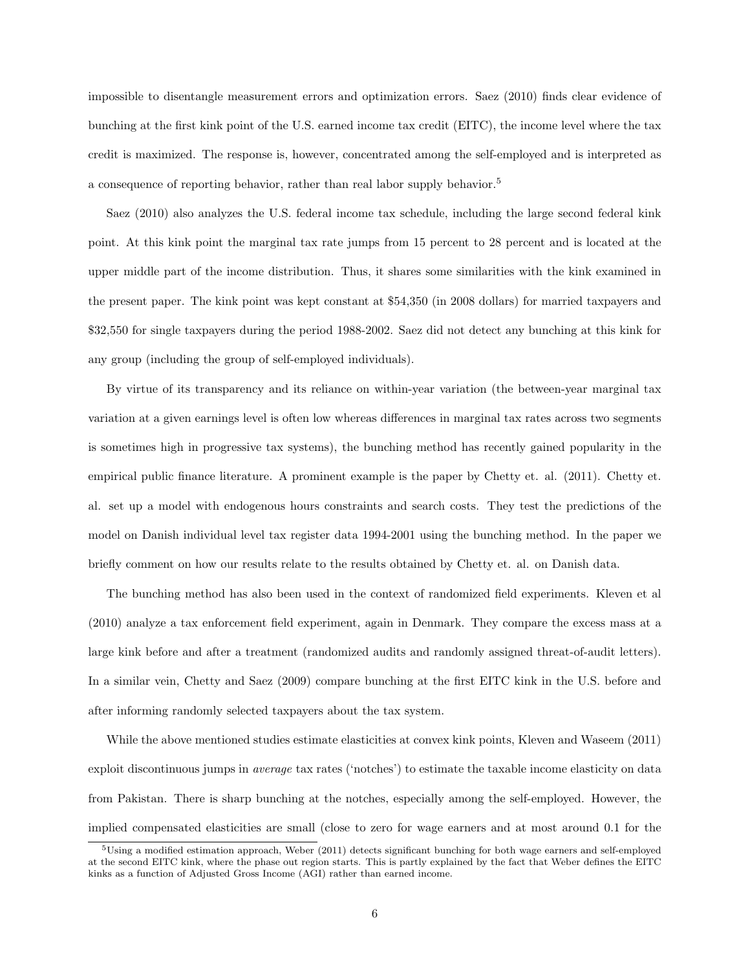impossible to disentangle measurement errors and optimization errors. Saez (2010) finds clear evidence of bunching at the first kink point of the U.S. earned income tax credit (EITC), the income level where the tax credit is maximized. The response is, however, concentrated among the self-employed and is interpreted as a consequence of reporting behavior, rather than real labor supply behavior.<sup>5</sup>

Saez (2010) also analyzes the U.S. federal income tax schedule, including the large second federal kink point. At this kink point the marginal tax rate jumps from 15 percent to 28 percent and is located at the upper middle part of the income distribution. Thus, it shares some similarities with the kink examined in the present paper. The kink point was kept constant at \$54,350 (in 2008 dollars) for married taxpayers and \$32,550 for single taxpayers during the period 1988-2002. Saez did not detect any bunching at this kink for any group (including the group of self-employed individuals).

By virtue of its transparency and its reliance on within-year variation (the between-year marginal tax variation at a given earnings level is often low whereas differences in marginal tax rates across two segments is sometimes high in progressive tax systems), the bunching method has recently gained popularity in the empirical public finance literature. A prominent example is the paper by Chetty et. al. (2011). Chetty et. al. set up a model with endogenous hours constraints and search costs. They test the predictions of the model on Danish individual level tax register data 1994-2001 using the bunching method. In the paper we briefly comment on how our results relate to the results obtained by Chetty et. al. on Danish data.

The bunching method has also been used in the context of randomized field experiments. Kleven et al (2010) analyze a tax enforcement field experiment, again in Denmark. They compare the excess mass at a large kink before and after a treatment (randomized audits and randomly assigned threat-of-audit letters). In a similar vein, Chetty and Saez (2009) compare bunching at the first EITC kink in the U.S. before and after informing randomly selected taxpayers about the tax system.

While the above mentioned studies estimate elasticities at convex kink points, Kleven and Waseem (2011) exploit discontinuous jumps in average tax rates ('notches') to estimate the taxable income elasticity on data from Pakistan. There is sharp bunching at the notches, especially among the self-employed. However, the implied compensated elasticities are small (close to zero for wage earners and at most around 0.1 for the

 $5$ Using a modified estimation approach, Weber (2011) detects significant bunching for both wage earners and self-employed at the second EITC kink, where the phase out region starts. This is partly explained by the fact that Weber defines the EITC kinks as a function of Adjusted Gross Income (AGI) rather than earned income.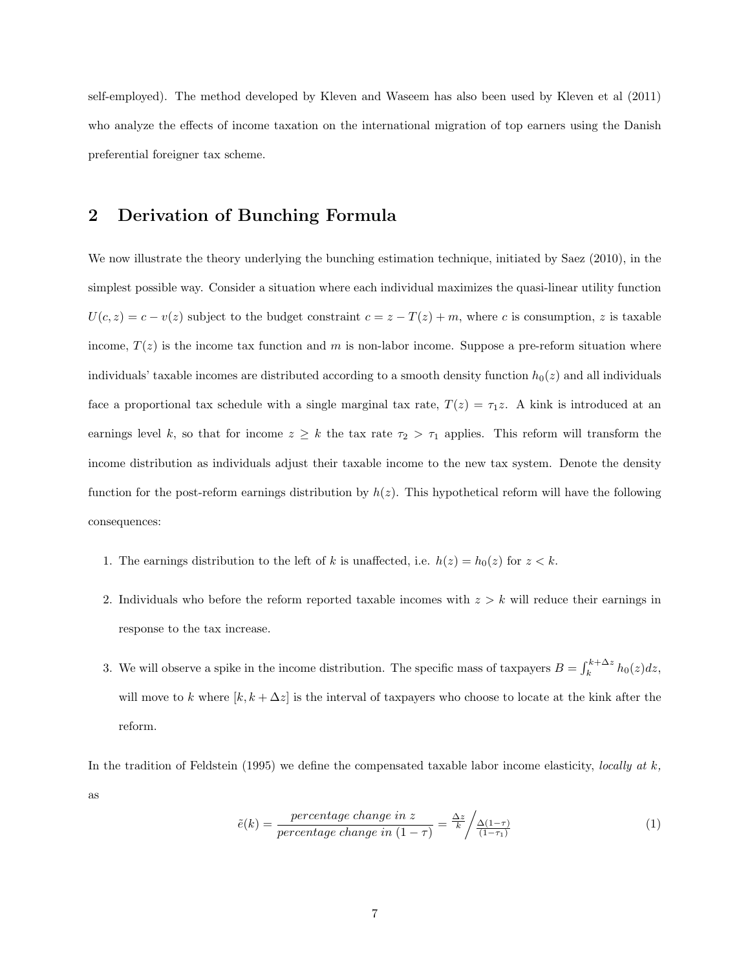self-employed). The method developed by Kleven and Waseem has also been used by Kleven et al (2011) who analyze the effects of income taxation on the international migration of top earners using the Danish preferential foreigner tax scheme.

### 2 Derivation of Bunching Formula

We now illustrate the theory underlying the bunching estimation technique, initiated by Saez (2010), in the simplest possible way. Consider a situation where each individual maximizes the quasi-linear utility function  $U(c, z) = c - v(z)$  subject to the budget constraint  $c = z - T(z) + m$ , where c is consumption, z is taxable income,  $T(z)$  is the income tax function and m is non-labor income. Suppose a pre-reform situation where individuals' taxable incomes are distributed according to a smooth density function  $h_0(z)$  and all individuals face a proportional tax schedule with a single marginal tax rate,  $T(z) = \tau_1 z$ . A kink is introduced at an earnings level k, so that for income  $z \geq k$  the tax rate  $\tau_2 > \tau_1$  applies. This reform will transform the income distribution as individuals adjust their taxable income to the new tax system. Denote the density function for the post-reform earnings distribution by  $h(z)$ . This hypothetical reform will have the following consequences:

- 1. The earnings distribution to the left of k is unaffected, i.e.  $h(z) = h_0(z)$  for  $z < k$ .
- 2. Individuals who before the reform reported taxable incomes with  $z > k$  will reduce their earnings in response to the tax increase.
- 3. We will observe a spike in the income distribution. The specific mass of taxpayers  $B = \int_k^{k+\Delta z} h_0(z) dz$ , will move to k where  $[k, k + \Delta z]$  is the interval of taxpayers who choose to locate at the kink after the reform.

In the tradition of Feldstein (1995) we define the compensated taxable labor income elasticity, locally at  $k$ , as

$$
\tilde{e}(k) = \frac{\text{percentage change in } z}{\text{percentage change in } (1 - \tau)} = \frac{\Delta z}{k} / \frac{\Delta(1 - \tau)}{(1 - \tau_1)} \tag{1}
$$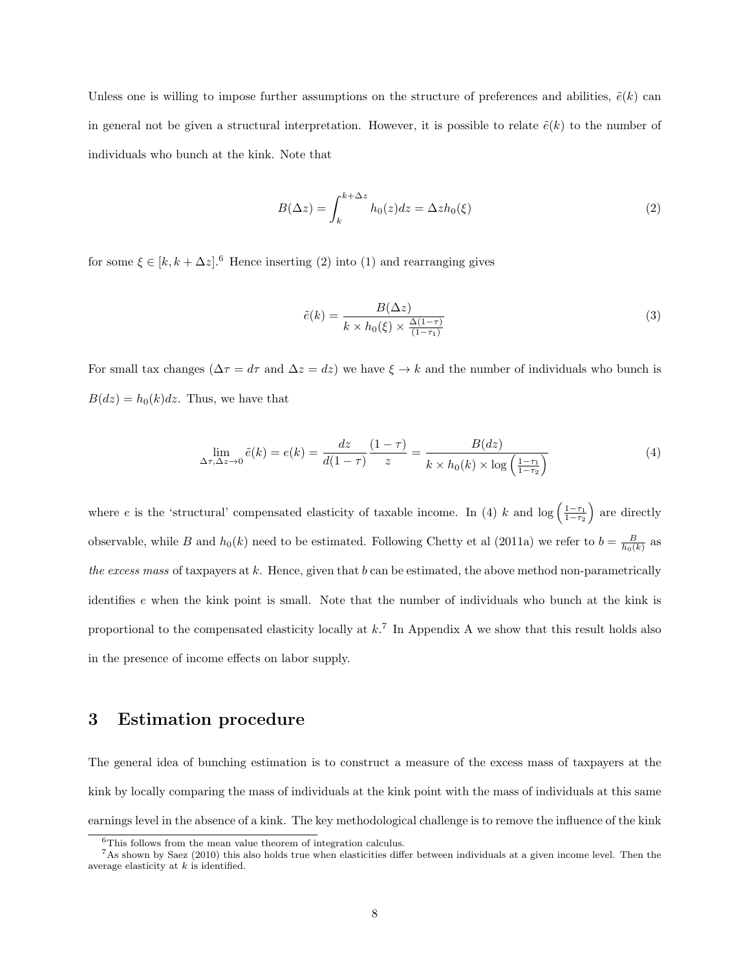Unless one is willing to impose further assumptions on the structure of preferences and abilities,  $\tilde{e}(k)$  can in general not be given a structural interpretation. However, it is possible to relate  $\tilde{e}(k)$  to the number of individuals who bunch at the kink. Note that

$$
B(\Delta z) = \int_{k}^{k + \Delta z} h_0(z) dz = \Delta z h_0(\xi)
$$
\n(2)

for some  $\xi \in [k, k + \Delta z]$ .<sup>6</sup> Hence inserting (2) into (1) and rearranging gives

$$
\tilde{e}(k) = \frac{B(\Delta z)}{k \times h_0(\xi) \times \frac{\Delta(1-\tau)}{(1-\tau_1)}}
$$
\n(3)

For small tax changes ( $\Delta \tau = d\tau$  and  $\Delta z = dz$ ) we have  $\xi \to k$  and the number of individuals who bunch is  $B(dz) = h_0(k)dz$ . Thus, we have that

$$
\lim_{\Delta \tau, \Delta z \to 0} \tilde{e}(k) = e(k) = \frac{dz}{d(1-\tau)} \frac{(1-\tau)}{z} = \frac{B(dz)}{k \times h_0(k) \times \log\left(\frac{1-\tau_1}{1-\tau_2}\right)}\tag{4}
$$

where e is the 'structural' compensated elasticity of taxable income. In (4) k and log  $\left(\frac{1-\tau_1}{1-\tau_2}\right)$  are directly observable, while B and  $h_0(k)$  need to be estimated. Following Chetty et al (2011a) we refer to  $b = \frac{B}{h_0(k)}$  as the excess mass of taxpayers at  $k$ . Hence, given that  $b$  can be estimated, the above method non-parametrically identifies e when the kink point is small. Note that the number of individuals who bunch at the kink is proportional to the compensated elasticity locally at  $k$ .<sup>7</sup> In Appendix A we show that this result holds also in the presence of income effects on labor supply.

### 3 Estimation procedure

The general idea of bunching estimation is to construct a measure of the excess mass of taxpayers at the kink by locally comparing the mass of individuals at the kink point with the mass of individuals at this same earnings level in the absence of a kink. The key methodological challenge is to remove the influence of the kink

<sup>6</sup>This follows from the mean value theorem of integration calculus.

<sup>7</sup>As shown by Saez (2010) this also holds true when elasticities differ between individuals at a given income level. Then the average elasticity at  $k$  is identified.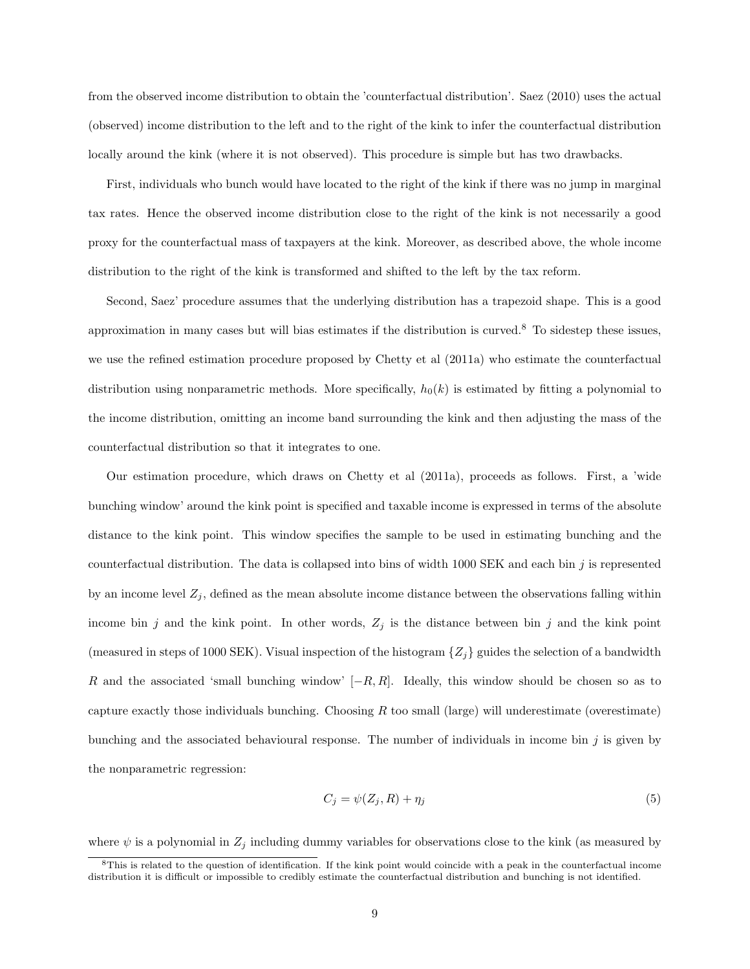from the observed income distribution to obtain the 'counterfactual distribution'. Saez (2010) uses the actual (observed) income distribution to the left and to the right of the kink to infer the counterfactual distribution locally around the kink (where it is not observed). This procedure is simple but has two drawbacks.

First, individuals who bunch would have located to the right of the kink if there was no jump in marginal tax rates. Hence the observed income distribution close to the right of the kink is not necessarily a good proxy for the counterfactual mass of taxpayers at the kink. Moreover, as described above, the whole income distribution to the right of the kink is transformed and shifted to the left by the tax reform.

Second, Saez' procedure assumes that the underlying distribution has a trapezoid shape. This is a good approximation in many cases but will bias estimates if the distribution is curved.<sup>8</sup> To sidestep these issues, we use the refined estimation procedure proposed by Chetty et al (2011a) who estimate the counterfactual distribution using nonparametric methods. More specifically,  $h_0(k)$  is estimated by fitting a polynomial to the income distribution, omitting an income band surrounding the kink and then adjusting the mass of the counterfactual distribution so that it integrates to one.

Our estimation procedure, which draws on Chetty et al (2011a), proceeds as follows. First, a 'wide bunching window' around the kink point is specified and taxable income is expressed in terms of the absolute distance to the kink point. This window specifies the sample to be used in estimating bunching and the counterfactual distribution. The data is collapsed into bins of width 1000 SEK and each bin  $j$  is represented by an income level  $Z_j$ , defined as the mean absolute income distance between the observations falling within income bin j and the kink point. In other words,  $Z_j$  is the distance between bin j and the kink point (measured in steps of 1000 SEK). Visual inspection of the histogram  $\{Z_i\}$  guides the selection of a bandwidth R and the associated 'small bunching window'  $[-R, R]$ . Ideally, this window should be chosen so as to capture exactly those individuals bunching. Choosing  $R$  too small (large) will underestimate (overestimate) bunching and the associated behavioural response. The number of individuals in income bin j is given by the nonparametric regression:

$$
C_j = \psi(Z_j, R) + \eta_j \tag{5}
$$

where  $\psi$  is a polynomial in  $Z_j$  including dummy variables for observations close to the kink (as measured by

 ${}^8$ This is related to the question of identification. If the kink point would coincide with a peak in the counterfactual income distribution it is difficult or impossible to credibly estimate the counterfactual distribution and bunching is not identified.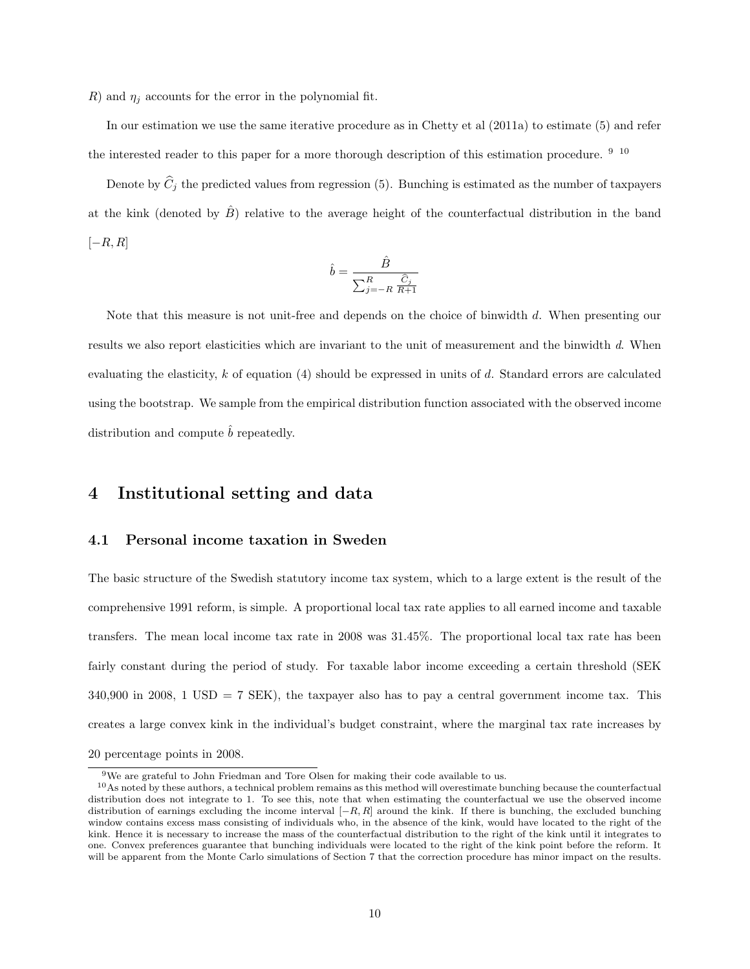R) and  $\eta_i$  accounts for the error in the polynomial fit.

In our estimation we use the same iterative procedure as in Chetty et al (2011a) to estimate (5) and refer the interested reader to this paper for a more thorough description of this estimation procedure. <sup>9</sup> <sup>10</sup>

Denote by  $\hat{C}_j$  the predicted values from regression (5). Bunching is estimated as the number of taxpayers at the kink (denoted by  $\hat{B}$ ) relative to the average height of the counterfactual distribution in the band  $[-R, R]$ 

$$
\hat{b} = \frac{\hat{B}}{\sum_{j=-R}^{R} \frac{\hat{C}_j}{R+1}}
$$

Note that this measure is not unit-free and depends on the choice of binwidth d. When presenting our results we also report elasticities which are invariant to the unit of measurement and the binwidth d. When evaluating the elasticity, k of equation  $(4)$  should be expressed in units of d. Standard errors are calculated using the bootstrap. We sample from the empirical distribution function associated with the observed income distribution and compute  $\hat{b}$  repeatedly.

### 4 Institutional setting and data

#### 4.1 Personal income taxation in Sweden

The basic structure of the Swedish statutory income tax system, which to a large extent is the result of the comprehensive 1991 reform, is simple. A proportional local tax rate applies to all earned income and taxable transfers. The mean local income tax rate in 2008 was 31.45%. The proportional local tax rate has been fairly constant during the period of study. For taxable labor income exceeding a certain threshold (SEK  $340,900$  in 2008, 1 USD = 7 SEK), the taxpayer also has to pay a central government income tax. This creates a large convex kink in the individual's budget constraint, where the marginal tax rate increases by 20 percentage points in 2008.

<sup>9</sup>We are grateful to John Friedman and Tore Olsen for making their code available to us.

<sup>&</sup>lt;sup>10</sup>As noted by these authors, a technical problem remains as this method will overestimate bunching because the counterfactual distribution does not integrate to 1. To see this, note that when estimating the counterfactual we use the observed income distribution of earnings excluding the income interval  $[-R, R]$  around the kink. If there is bunching, the excluded bunching window contains excess mass consisting of individuals who, in the absence of the kink, would have located to the right of the kink. Hence it is necessary to increase the mass of the counterfactual distribution to the right of the kink until it integrates to one. Convex preferences guarantee that bunching individuals were located to the right of the kink point before the reform. It will be apparent from the Monte Carlo simulations of Section 7 that the correction procedure has minor impact on the results.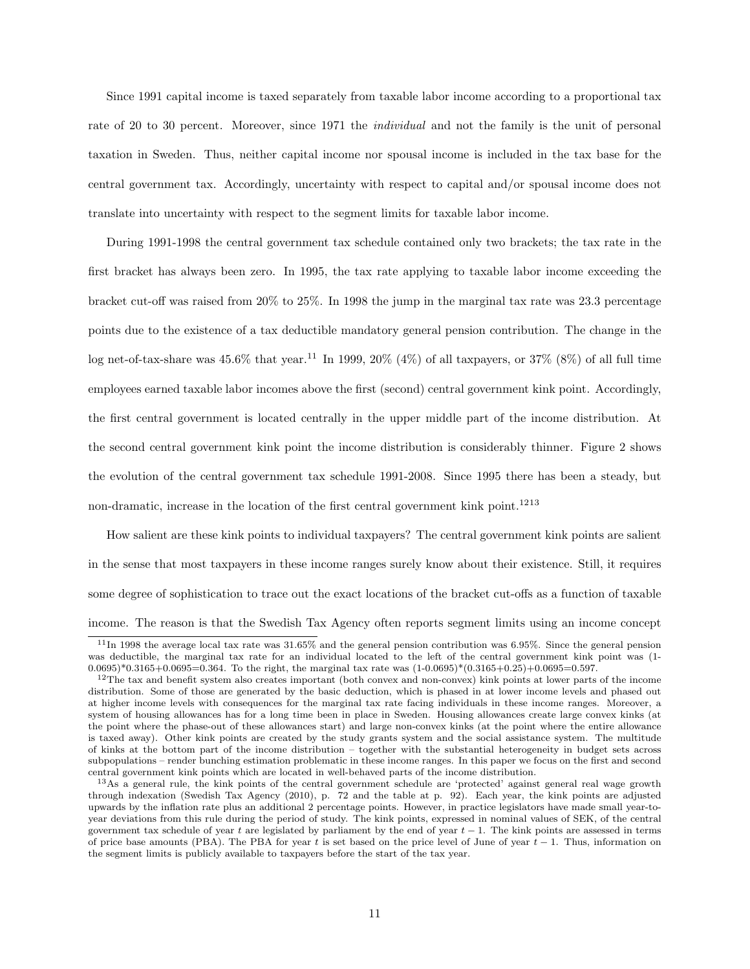Since 1991 capital income is taxed separately from taxable labor income according to a proportional tax rate of 20 to 30 percent. Moreover, since 1971 the *individual* and not the family is the unit of personal taxation in Sweden. Thus, neither capital income nor spousal income is included in the tax base for the central government tax. Accordingly, uncertainty with respect to capital and/or spousal income does not translate into uncertainty with respect to the segment limits for taxable labor income.

During 1991-1998 the central government tax schedule contained only two brackets; the tax rate in the first bracket has always been zero. In 1995, the tax rate applying to taxable labor income exceeding the bracket cut-off was raised from 20% to 25%. In 1998 the jump in the marginal tax rate was 23.3 percentage points due to the existence of a tax deductible mandatory general pension contribution. The change in the log net-of-tax-share was  $45.6\%$  that year.<sup>11</sup> In 1999, 20% (4%) of all taxpayers, or 37% (8%) of all full time employees earned taxable labor incomes above the first (second) central government kink point. Accordingly, the first central government is located centrally in the upper middle part of the income distribution. At the second central government kink point the income distribution is considerably thinner. Figure 2 shows the evolution of the central government tax schedule 1991-2008. Since 1995 there has been a steady, but non-dramatic, increase in the location of the first central government kink point.<sup>1213</sup>

How salient are these kink points to individual taxpayers? The central government kink points are salient in the sense that most taxpayers in these income ranges surely know about their existence. Still, it requires some degree of sophistication to trace out the exact locations of the bracket cut-offs as a function of taxable income. The reason is that the Swedish Tax Agency often reports segment limits using an income concept

 $11$ In 1998 the average local tax rate was 31.65% and the general pension contribution was 6.95%. Since the general pension was deductible, the marginal tax rate for an individual located to the left of the central government kink point was (1- $0.0695$ <sup>\*</sup> $0.3165+0.0695=0.364$ . To the right, the marginal tax rate was  $(1-0.0695)$ <sup>\*</sup> $(0.3165+0.25)+0.0695=0.597$ .

 $12$ The tax and benefit system also creates important (both convex and non-convex) kink points at lower parts of the income distribution. Some of those are generated by the basic deduction, which is phased in at lower income levels and phased out at higher income levels with consequences for the marginal tax rate facing individuals in these income ranges. Moreover, a system of housing allowances has for a long time been in place in Sweden. Housing allowances create large convex kinks (at the point where the phase-out of these allowances start) and large non-convex kinks (at the point where the entire allowance is taxed away). Other kink points are created by the study grants system and the social assistance system. The multitude of kinks at the bottom part of the income distribution – together with the substantial heterogeneity in budget sets across subpopulations – render bunching estimation problematic in these income ranges. In this paper we focus on the first and second central government kink points which are located in well-behaved parts of the income distribution.

<sup>13</sup>As a general rule, the kink points of the central government schedule are 'protected' against general real wage growth through indexation (Swedish Tax Agency (2010), p. 72 and the table at p. 92). Each year, the kink points are adjusted upwards by the inflation rate plus an additional 2 percentage points. However, in practice legislators have made small year-toyear deviations from this rule during the period of study. The kink points, expressed in nominal values of SEK, of the central government tax schedule of year t are legislated by parliament by the end of year  $t - 1$ . The kink points are assessed in terms of price base amounts (PBA). The PBA for year t is set based on the price level of June of year  $t-1$ . Thus, information on the segment limits is publicly available to taxpayers before the start of the tax year.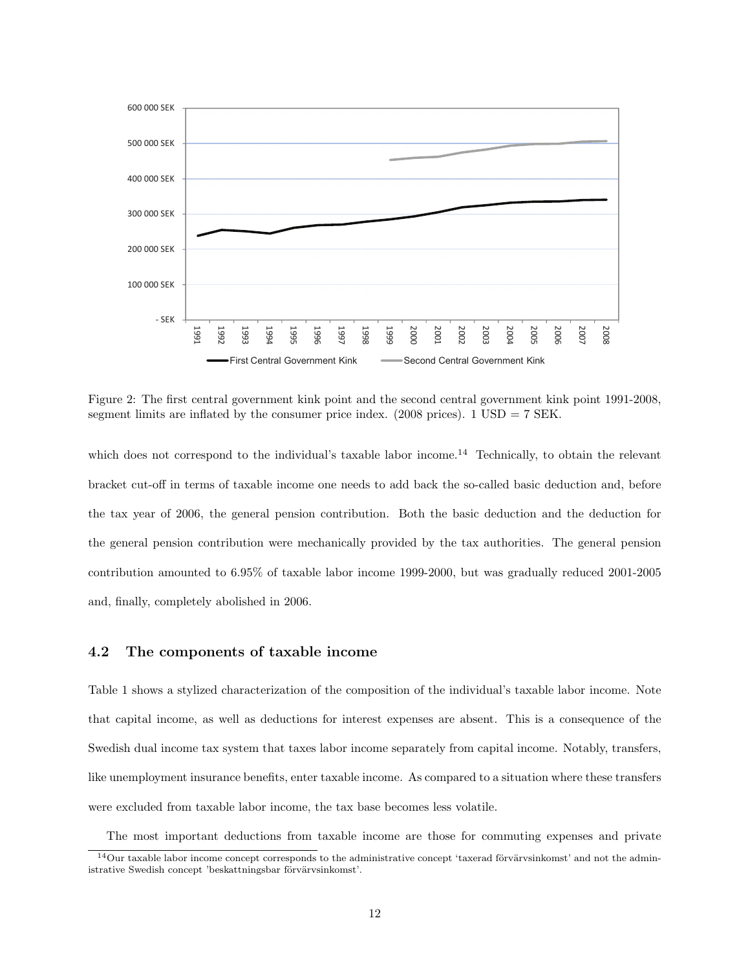

Figure 2: The first central government kink point and the second central government kink point 1991-2008, segment limits are inflated by the consumer price index. (2008 prices).  $1 \text{ USD} = 7 \text{ SEK}$ .

which does not correspond to the individual's taxable labor income.<sup>14</sup> Technically, to obtain the relevant bracket cut-off in terms of taxable income one needs to add back the so-called basic deduction and, before the tax year of 2006, the general pension contribution. Both the basic deduction and the deduction for the general pension contribution were mechanically provided by the tax authorities. The general pension contribution amounted to 6.95% of taxable labor income 1999-2000, but was gradually reduced 2001-2005 and, finally, completely abolished in 2006.

#### 4.2 The components of taxable income

Table 1 shows a stylized characterization of the composition of the individual's taxable labor income. Note that capital income, as well as deductions for interest expenses are absent. This is a consequence of the Swedish dual income tax system that taxes labor income separately from capital income. Notably, transfers, like unemployment insurance benefits, enter taxable income. As compared to a situation where these transfers were excluded from taxable labor income, the tax base becomes less volatile.

The most important deductions from taxable income are those for commuting expenses and private

 $14$ Our taxable labor income concept corresponds to the administrative concept 'taxerad förvärvsinkomst' and not the administrative Swedish concept 'beskattningsbar förvärvsinkomst'.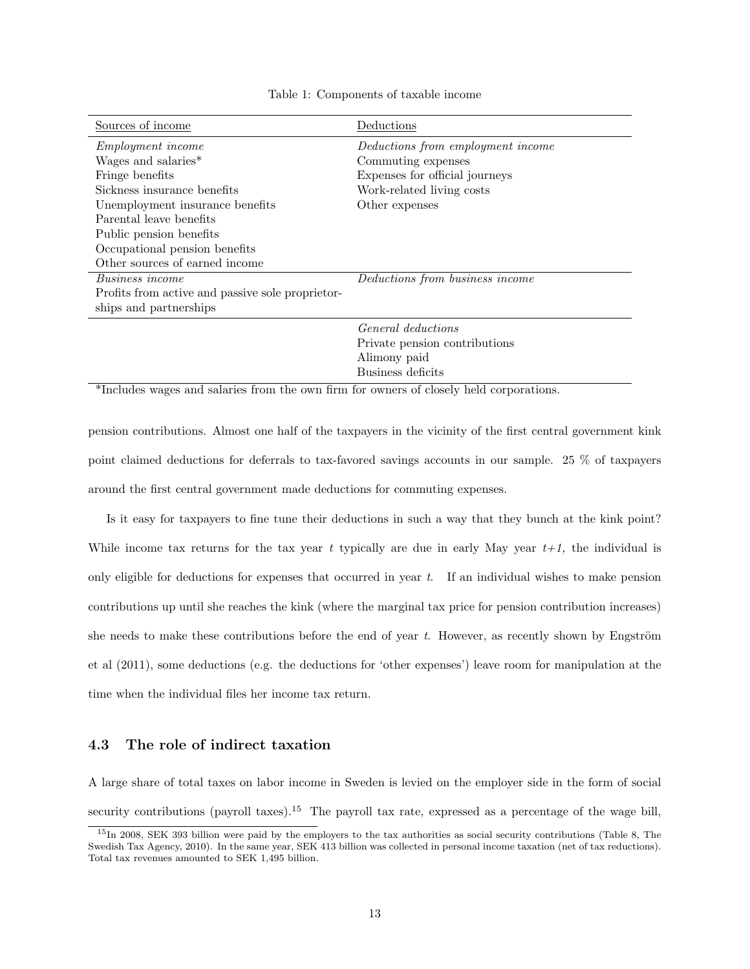| Deductions                        |
|-----------------------------------|
| Deductions from employment income |
| Commuting expenses                |
| Expenses for official journeys    |
| Work-related living costs         |
| Other expenses                    |
|                                   |
|                                   |
|                                   |
|                                   |
| Deductions from business income   |
|                                   |
|                                   |
| <i>General deductions</i>         |
| Private pension contributions     |
| Alimony paid                      |
| Business deficits                 |
|                                   |

Table 1: Components of taxable income

\*Includes wages and salaries from the own firm for owners of closely held corporations.

pension contributions. Almost one half of the taxpayers in the vicinity of the first central government kink point claimed deductions for deferrals to tax-favored savings accounts in our sample. 25 % of taxpayers around the first central government made deductions for commuting expenses.

Is it easy for taxpayers to fine tune their deductions in such a way that they bunch at the kink point? While income tax returns for the tax year t typically are due in early May year  $t+1$ , the individual is only eligible for deductions for expenses that occurred in year  $t$ . If an individual wishes to make pension contributions up until she reaches the kink (where the marginal tax price for pension contribution increases) she needs to make these contributions before the end of year t. However, as recently shown by Engström et al (2011), some deductions (e.g. the deductions for 'other expenses') leave room for manipulation at the time when the individual files her income tax return.

#### 4.3 The role of indirect taxation

A large share of total taxes on labor income in Sweden is levied on the employer side in the form of social security contributions (payroll taxes).<sup>15</sup> The payroll tax rate, expressed as a percentage of the wage bill,

<sup>15</sup>In 2008, SEK 393 billion were paid by the employers to the tax authorities as social security contributions (Table 8, The Swedish Tax Agency, 2010). In the same year, SEK 413 billion was collected in personal income taxation (net of tax reductions). Total tax revenues amounted to SEK 1,495 billion.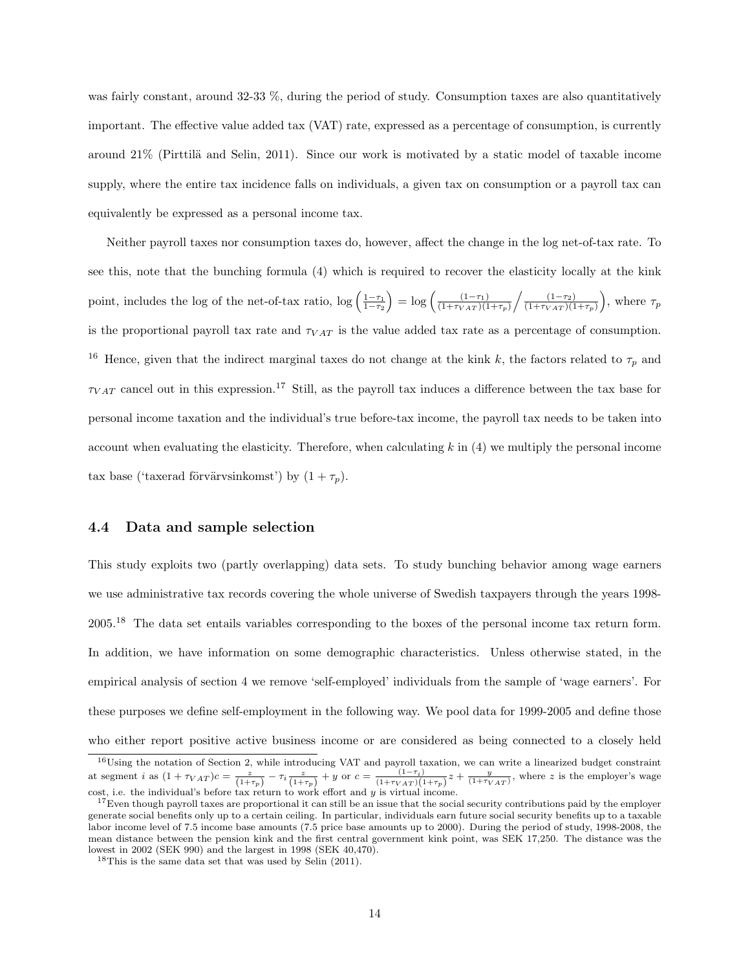was fairly constant, around 32-33 %, during the period of study. Consumption taxes are also quantitatively important. The effective value added tax (VAT) rate, expressed as a percentage of consumption, is currently around  $21\%$  (Pirttilä and Selin, 2011). Since our work is motivated by a static model of taxable income supply, where the entire tax incidence falls on individuals, a given tax on consumption or a payroll tax can equivalently be expressed as a personal income tax.

Neither payroll taxes nor consumption taxes do, however, affect the change in the log net-of-tax rate. To see this, note that the bunching formula (4) which is required to recover the elasticity locally at the kink point, includes the log of the net-of-tax ratio,  $\log\left(\frac{1-\tau_1}{1-\tau_2}\right) = \log\left(\frac{(1-\tau_1)}{(1+\tau_{VAT})(1-\tau_1)}\right)$  $\frac{(1-\tau_1)}{(1+\tau_{VAT})(1+\tau_p)} / \frac{(1-\tau_2)}{(1+\tau_{VAT})(1+\tau_p)}$  $\frac{(1-\tau_2)}{(1+\tau_{VAT})(1+\tau_p)}$ , where  $\tau_p$ is the proportional payroll tax rate and  $\tau_{VAT}$  is the value added tax rate as a percentage of consumption. <sup>16</sup> Hence, given that the indirect marginal taxes do not change at the kink k, the factors related to  $\tau_p$  and  $\tau_{VAT}$  cancel out in this expression.<sup>17</sup> Still, as the payroll tax induces a difference between the tax base for personal income taxation and the individual's true before-tax income, the payroll tax needs to be taken into account when evaluating the elasticity. Therefore, when calculating  $k$  in  $(4)$  we multiply the personal income tax base ('taxerad förvärvsinkomst') by  $(1 + \tau_p)$ .

#### 4.4 Data and sample selection

This study exploits two (partly overlapping) data sets. To study bunching behavior among wage earners we use administrative tax records covering the whole universe of Swedish taxpayers through the years 1998- 2005.<sup>18</sup> The data set entails variables corresponding to the boxes of the personal income tax return form. In addition, we have information on some demographic characteristics. Unless otherwise stated, in the empirical analysis of section 4 we remove 'self-employed' individuals from the sample of 'wage earners'. For these purposes we define self-employment in the following way. We pool data for 1999-2005 and define those who either report positive active business income or are considered as being connected to a closely held

 $16$ Using the notation of Section 2, while introducing VAT and payroll taxation, we can write a linearized budget constraint at segment *i* as  $(1 + \tau_{VAT})c = \frac{z}{(1+\tau_p)} - \tau_i \frac{z}{(1+\tau_p)} + y$  or  $c = \frac{(1-\tau_i)}{(1+\tau_{VAT})(1+\tau_p)}z + \frac{y}{(1+\tau_{VAT})}$ , where *z* is the employer's wage cost, i.e. the individual's before tax return to work effort and  $y$  is virtual income.

 $17$ Even though payroll taxes are proportional it can still be an issue that the social security contributions paid by the employer generate social benefits only up to a certain ceiling. In particular, individuals earn future social security benefits up to a taxable labor income level of 7.5 income base amounts (7.5 price base amounts up to 2000). During the period of study, 1998-2008, the mean distance between the pension kink and the first central government kink point, was SEK 17,250. The distance was the lowest in 2002 (SEK 990) and the largest in 1998 (SEK 40,470).

<sup>18</sup>This is the same data set that was used by Selin (2011).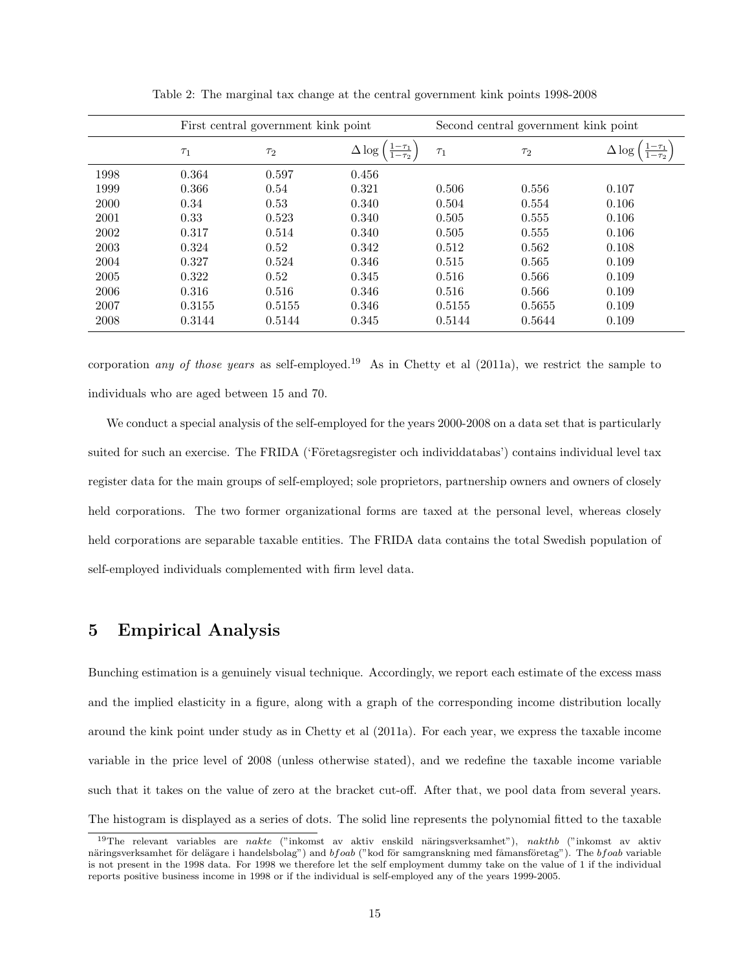|      | First central government kink point |          | Second central government kink point     |          |          |               |
|------|-------------------------------------|----------|------------------------------------------|----------|----------|---------------|
|      | $\tau_1$                            | $\tau_2$ | $-\tau_1$<br>$\Delta \log$<br>$1-\tau_2$ | $\tau_1$ | $\tau_2$ | $\Delta \log$ |
| 1998 | 0.364                               | 0.597    | 0.456                                    |          |          |               |
| 1999 | 0.366                               | 0.54     | 0.321                                    | 0.506    | 0.556    | 0.107         |
| 2000 | 0.34                                | 0.53     | 0.340                                    | 0.504    | 0.554    | 0.106         |
| 2001 | 0.33                                | 0.523    | 0.340                                    | 0.505    | 0.555    | 0.106         |
| 2002 | 0.317                               | 0.514    | 0.340                                    | 0.505    | 0.555    | 0.106         |
| 2003 | 0.324                               | 0.52     | 0.342                                    | 0.512    | 0.562    | 0.108         |
| 2004 | 0.327                               | 0.524    | 0.346                                    | 0.515    | 0.565    | 0.109         |
| 2005 | 0.322                               | 0.52     | 0.345                                    | 0.516    | 0.566    | 0.109         |
| 2006 | 0.316                               | 0.516    | 0.346                                    | 0.516    | 0.566    | 0.109         |
| 2007 | 0.3155                              | 0.5155   | 0.346                                    | 0.5155   | 0.5655   | 0.109         |
| 2008 | 0.3144                              | 0.5144   | 0.345                                    | 0.5144   | 0.5644   | 0.109         |

Table 2: The marginal tax change at the central government kink points 1998-2008

corporation any of those years as self-employed.<sup>19</sup> As in Chetty et al (2011a), we restrict the sample to individuals who are aged between 15 and 70.

We conduct a special analysis of the self-employed for the years 2000-2008 on a data set that is particularly suited for such an exercise. The FRIDA ('Företagsregister och individdatabas') contains individual level tax register data for the main groups of self-employed; sole proprietors, partnership owners and owners of closely held corporations. The two former organizational forms are taxed at the personal level, whereas closely held corporations are separable taxable entities. The FRIDA data contains the total Swedish population of self-employed individuals complemented with firm level data.

### 5 Empirical Analysis

Bunching estimation is a genuinely visual technique. Accordingly, we report each estimate of the excess mass and the implied elasticity in a figure, along with a graph of the corresponding income distribution locally around the kink point under study as in Chetty et al (2011a). For each year, we express the taxable income variable in the price level of 2008 (unless otherwise stated), and we redefine the taxable income variable such that it takes on the value of zero at the bracket cut-off. After that, we pool data from several years. The histogram is displayed as a series of dots. The solid line represents the polynomial fitted to the taxable

<sup>&</sup>lt;sup>19</sup>The relevant variables are nakte ("inkomst av aktiv enskild näringsverksamhet"), nakthb ("inkomst av aktiv näringsverksamhet för delägare i handelsbolag") and  $bf$  ("kod för samgranskning med fåmansföretag"). The bf oab variable is not present in the 1998 data. For 1998 we therefore let the self employment dummy take on the value of 1 if the individual reports positive business income in 1998 or if the individual is self-employed any of the years 1999-2005.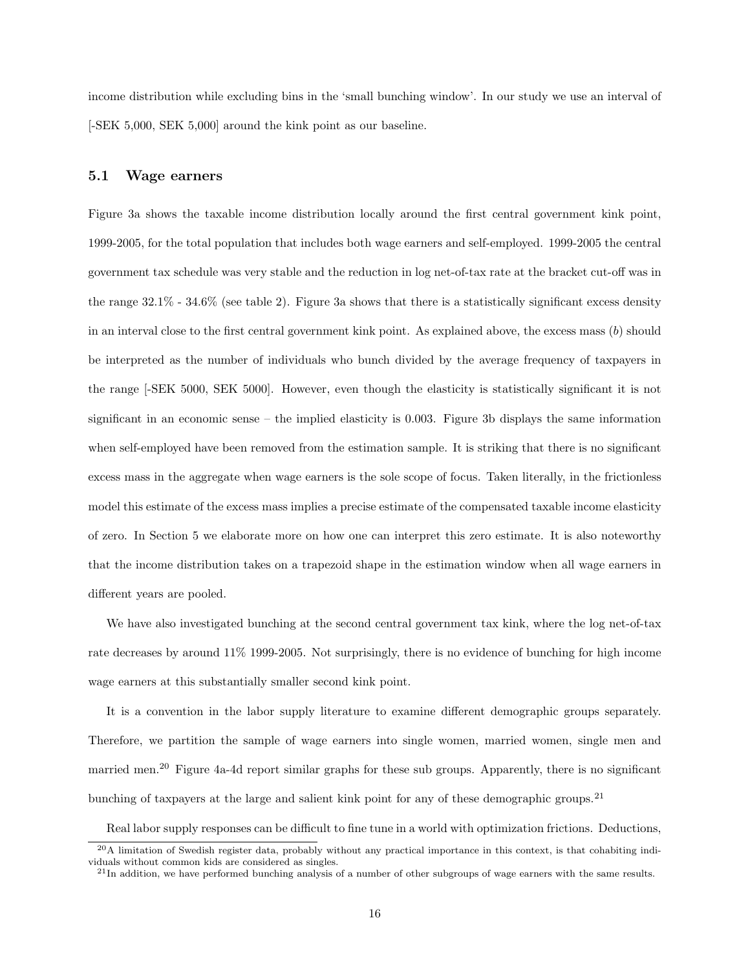income distribution while excluding bins in the 'small bunching window'. In our study we use an interval of [-SEK 5,000, SEK 5,000] around the kink point as our baseline.

#### 5.1 Wage earners

Figure 3a shows the taxable income distribution locally around the first central government kink point, 1999-2005, for the total population that includes both wage earners and self-employed. 1999-2005 the central government tax schedule was very stable and the reduction in log net-of-tax rate at the bracket cut-off was in the range 32.1% - 34.6% (see table 2). Figure 3a shows that there is a statistically significant excess density in an interval close to the first central government kink point. As explained above, the excess mass  $(b)$  should be interpreted as the number of individuals who bunch divided by the average frequency of taxpayers in the range [-SEK 5000, SEK 5000]. However, even though the elasticity is statistically significant it is not significant in an economic sense – the implied elasticity is 0.003. Figure 3b displays the same information when self-employed have been removed from the estimation sample. It is striking that there is no significant excess mass in the aggregate when wage earners is the sole scope of focus. Taken literally, in the frictionless model this estimate of the excess mass implies a precise estimate of the compensated taxable income elasticity of zero. In Section 5 we elaborate more on how one can interpret this zero estimate. It is also noteworthy that the income distribution takes on a trapezoid shape in the estimation window when all wage earners in different years are pooled.

We have also investigated bunching at the second central government tax kink, where the log net-of-tax rate decreases by around 11% 1999-2005. Not surprisingly, there is no evidence of bunching for high income wage earners at this substantially smaller second kink point.

It is a convention in the labor supply literature to examine different demographic groups separately. Therefore, we partition the sample of wage earners into single women, married women, single men and married men.<sup>20</sup> Figure 4a-4d report similar graphs for these sub groups. Apparently, there is no significant bunching of taxpayers at the large and salient kink point for any of these demographic groups.<sup>21</sup>

Real labor supply responses can be difficult to fine tune in a world with optimization frictions. Deductions,

 $^{20}$ A limitation of Swedish register data, probably without any practical importance in this context, is that cohabiting individuals without common kids are considered as singles.

 $^{21}$ In addition, we have performed bunching analysis of a number of other subgroups of wage earners with the same results.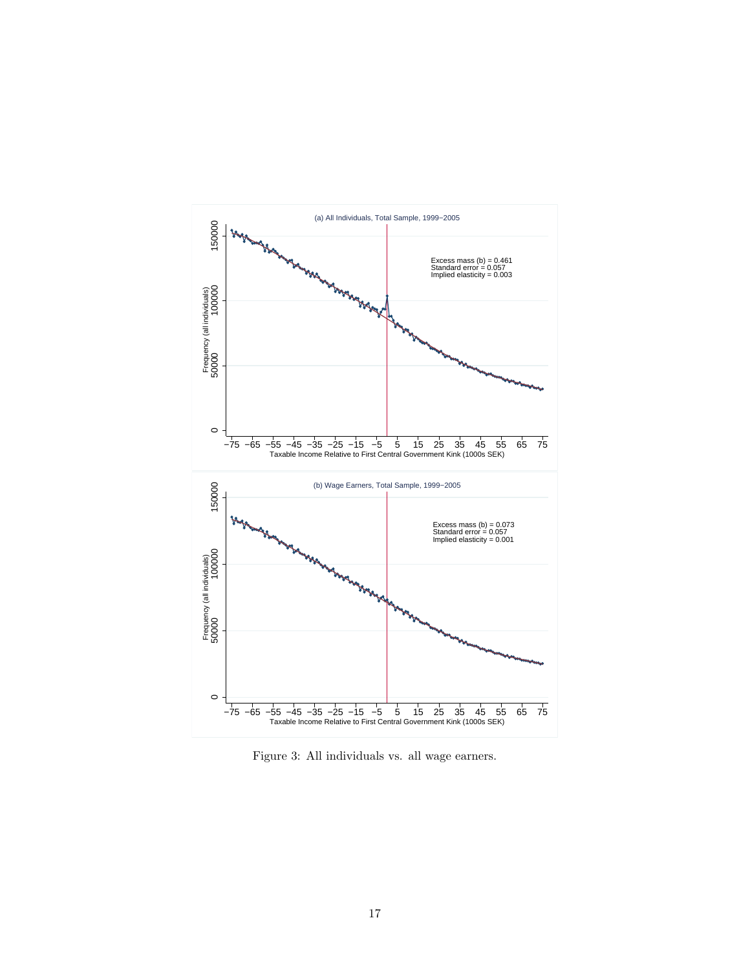

Figure 3: All individuals vs. all wage earners.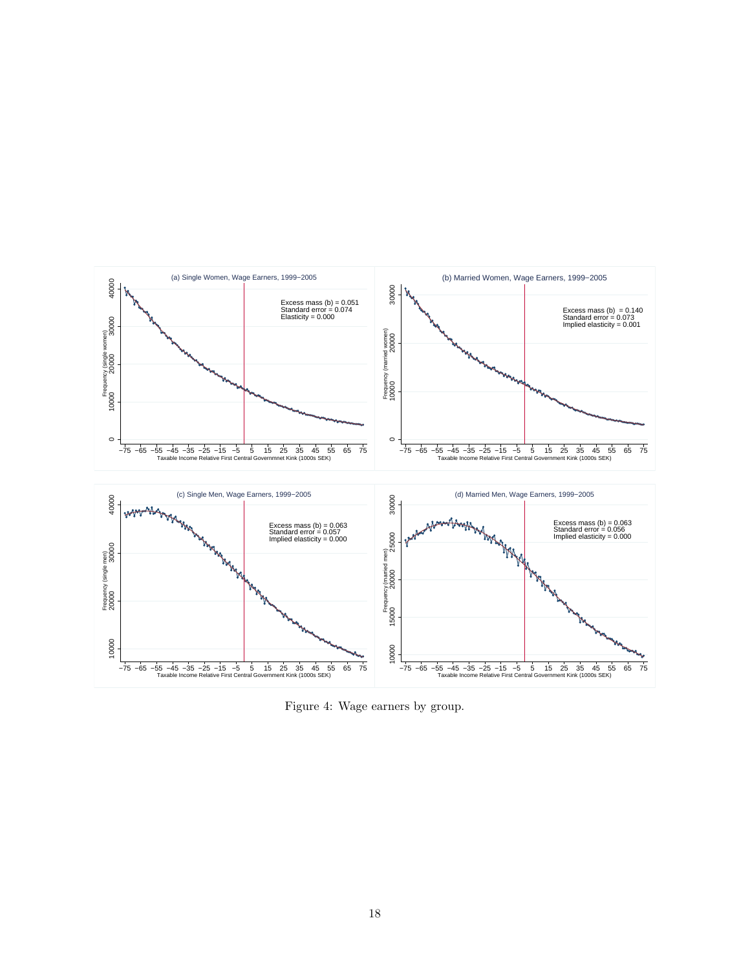

Figure 4: Wage earners by group.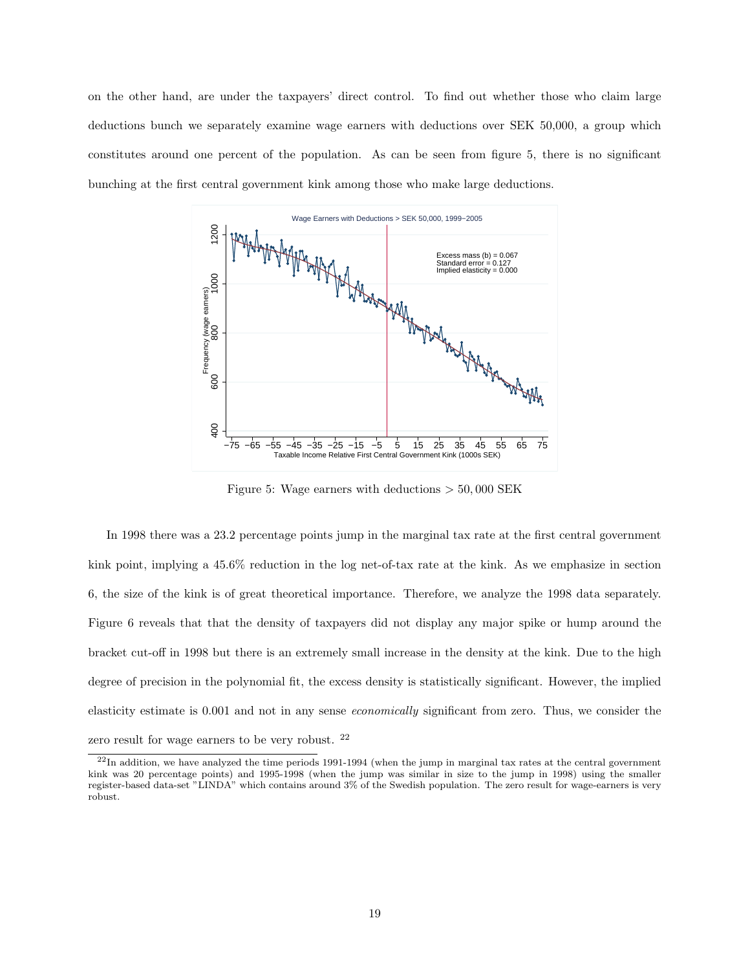on the other hand, are under the taxpayers' direct control. To find out whether those who claim large deductions bunch we separately examine wage earners with deductions over SEK 50,000, a group which constitutes around one percent of the population. As can be seen from figure 5, there is no significant bunching at the first central government kink among those who make large deductions.



Figure 5: Wage earners with deductions  $> 50,000$  SEK

In 1998 there was a 23.2 percentage points jump in the marginal tax rate at the first central government kink point, implying a 45.6% reduction in the log net-of-tax rate at the kink. As we emphasize in section 6, the size of the kink is of great theoretical importance. Therefore, we analyze the 1998 data separately. Figure 6 reveals that that the density of taxpayers did not display any major spike or hump around the bracket cut-off in 1998 but there is an extremely small increase in the density at the kink. Due to the high degree of precision in the polynomial fit, the excess density is statistically significant. However, the implied elasticity estimate is 0.001 and not in any sense economically significant from zero. Thus, we consider the zero result for wage earners to be very robust. <sup>22</sup>

 $^{22}$ In addition, we have analyzed the time periods 1991-1994 (when the jump in marginal tax rates at the central government kink was 20 percentage points) and 1995-1998 (when the jump was similar in size to the jump in 1998) using the smaller register-based data-set "LINDA" which contains around 3% of the Swedish population. The zero result for wage-earners is very robust.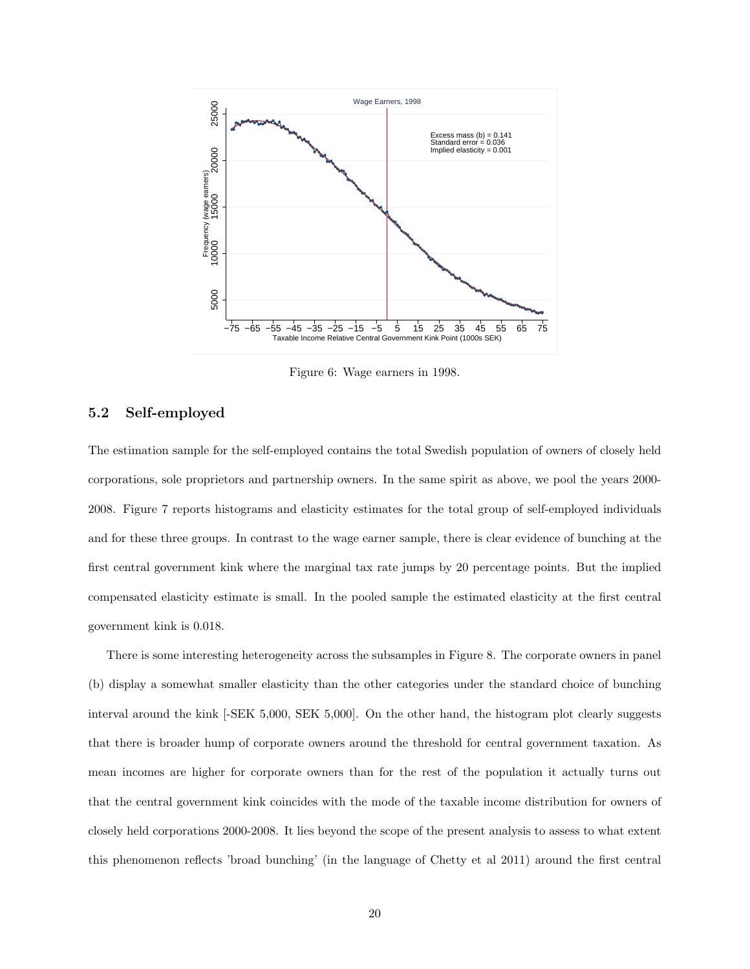

Figure 6: Wage earners in 1998.

#### 5.2 Self-employed

The estimation sample for the self-employed contains the total Swedish population of owners of closely held corporations, sole proprietors and partnership owners. In the same spirit as above, we pool the years 2000- 2008. Figure 7 reports histograms and elasticity estimates for the total group of self-employed individuals and for these three groups. In contrast to the wage earner sample, there is clear evidence of bunching at the first central government kink where the marginal tax rate jumps by 20 percentage points. But the implied compensated elasticity estimate is small. In the pooled sample the estimated elasticity at the first central government kink is 0.018.

There is some interesting heterogeneity across the subsamples in Figure 8. The corporate owners in panel (b) display a somewhat smaller elasticity than the other categories under the standard choice of bunching interval around the kink [-SEK 5,000, SEK 5,000]. On the other hand, the histogram plot clearly suggests that there is broader hump of corporate owners around the threshold for central government taxation. As mean incomes are higher for corporate owners than for the rest of the population it actually turns out that the central government kink coincides with the mode of the taxable income distribution for owners of closely held corporations 2000-2008. It lies beyond the scope of the present analysis to assess to what extent this phenomenon reflects 'broad bunching' (in the language of Chetty et al 2011) around the first central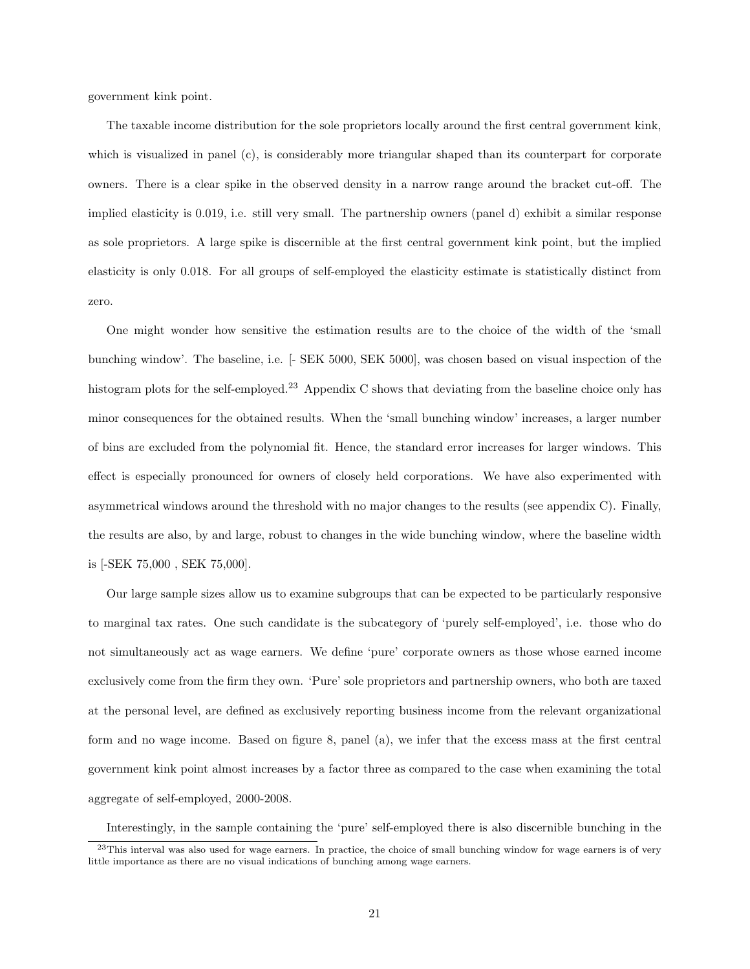government kink point.

The taxable income distribution for the sole proprietors locally around the first central government kink, which is visualized in panel (c), is considerably more triangular shaped than its counterpart for corporate owners. There is a clear spike in the observed density in a narrow range around the bracket cut-off. The implied elasticity is 0.019, i.e. still very small. The partnership owners (panel d) exhibit a similar response as sole proprietors. A large spike is discernible at the first central government kink point, but the implied elasticity is only 0.018. For all groups of self-employed the elasticity estimate is statistically distinct from zero.

One might wonder how sensitive the estimation results are to the choice of the width of the 'small bunching window'. The baseline, i.e. [- SEK 5000, SEK 5000], was chosen based on visual inspection of the histogram plots for the self-employed.<sup>23</sup> Appendix C shows that deviating from the baseline choice only has minor consequences for the obtained results. When the 'small bunching window' increases, a larger number of bins are excluded from the polynomial fit. Hence, the standard error increases for larger windows. This effect is especially pronounced for owners of closely held corporations. We have also experimented with asymmetrical windows around the threshold with no major changes to the results (see appendix C). Finally, the results are also, by and large, robust to changes in the wide bunching window, where the baseline width is [-SEK 75,000 , SEK 75,000].

Our large sample sizes allow us to examine subgroups that can be expected to be particularly responsive to marginal tax rates. One such candidate is the subcategory of 'purely self-employed', i.e. those who do not simultaneously act as wage earners. We define 'pure' corporate owners as those whose earned income exclusively come from the firm they own. 'Pure' sole proprietors and partnership owners, who both are taxed at the personal level, are defined as exclusively reporting business income from the relevant organizational form and no wage income. Based on figure 8, panel (a), we infer that the excess mass at the first central government kink point almost increases by a factor three as compared to the case when examining the total aggregate of self-employed, 2000-2008.

Interestingly, in the sample containing the 'pure' self-employed there is also discernible bunching in the

<sup>&</sup>lt;sup>23</sup>This interval was also used for wage earners. In practice, the choice of small bunching window for wage earners is of very little importance as there are no visual indications of bunching among wage earners.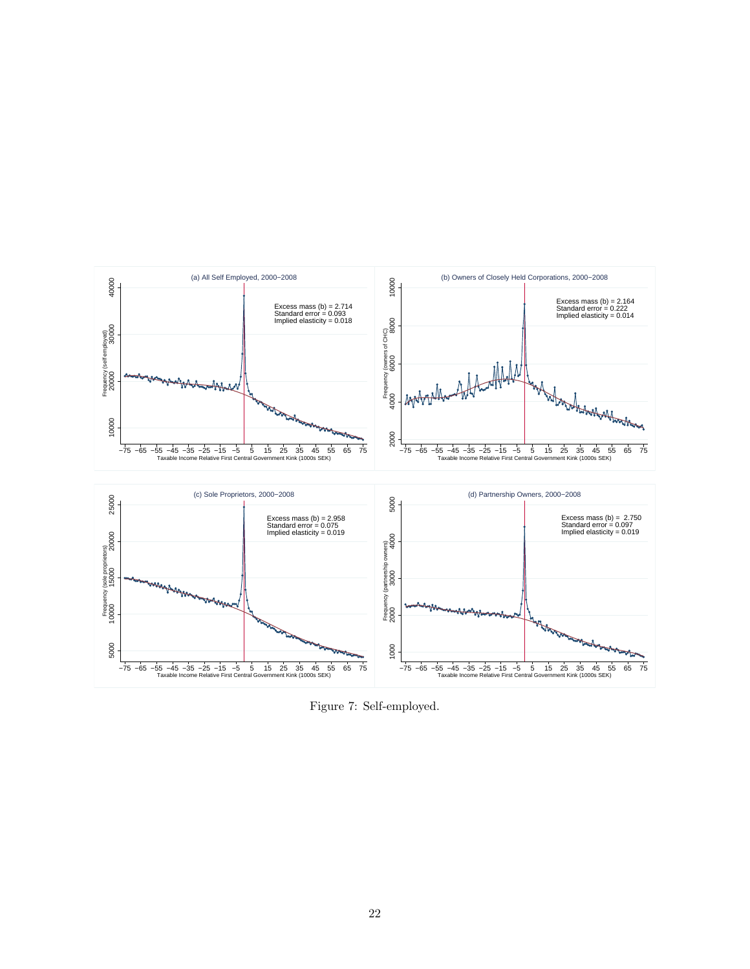

Figure 7: Self-employed.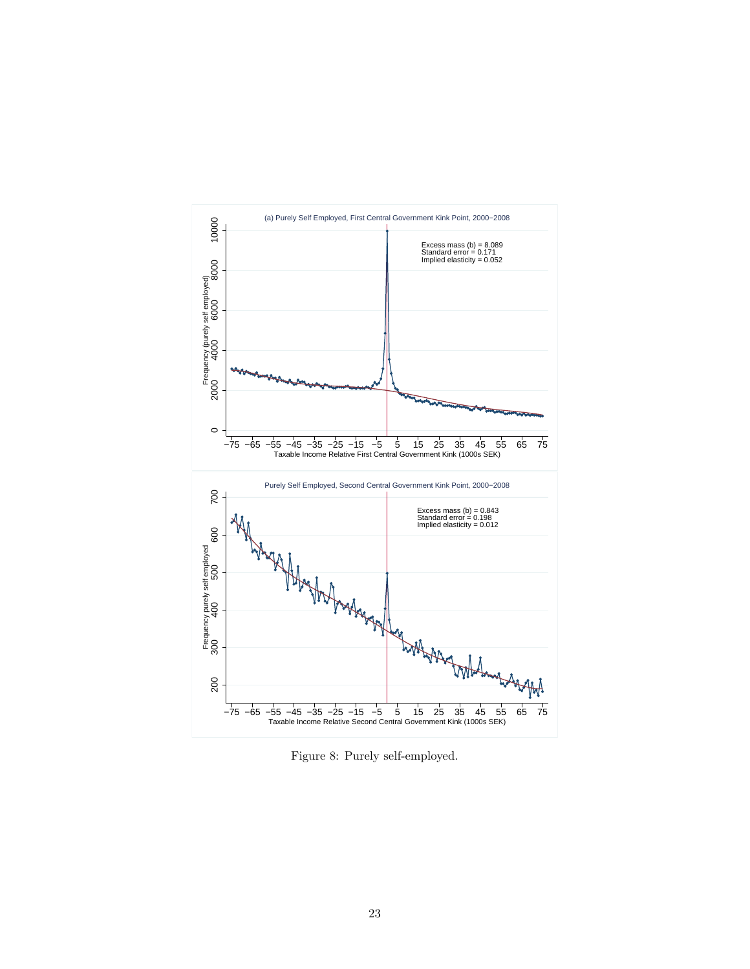

Figure 8: Purely self-employed.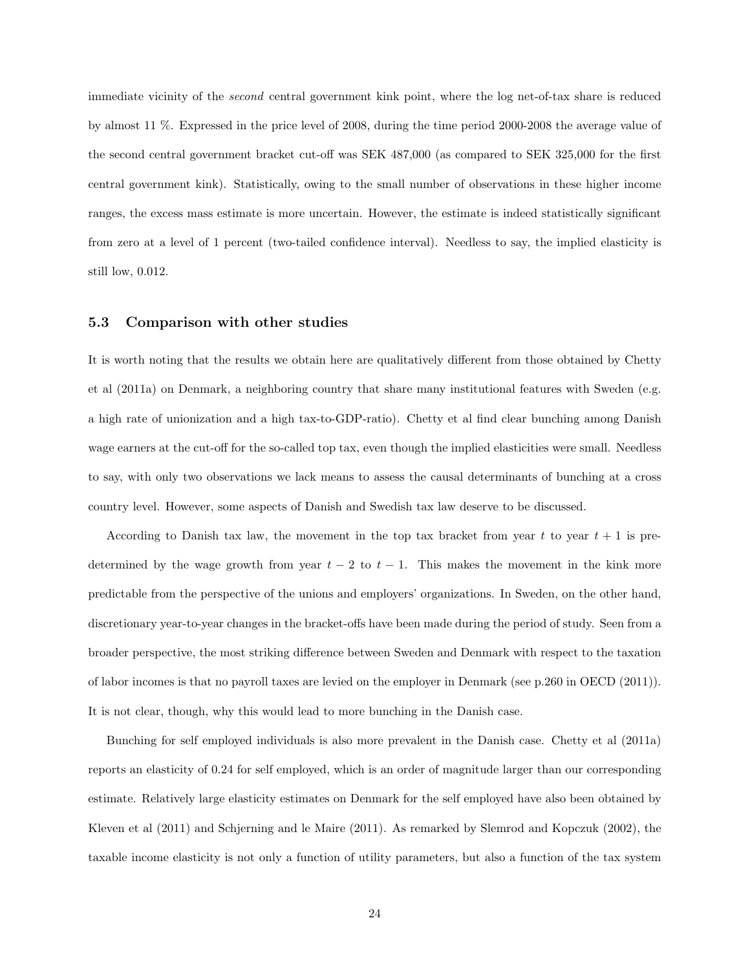immediate vicinity of the second central government kink point, where the log net-of-tax share is reduced by almost 11 %. Expressed in the price level of 2008, during the time period 2000-2008 the average value of the second central government bracket cut-off was SEK 487,000 (as compared to SEK 325,000 for the first central government kink). Statistically, owing to the small number of observations in these higher income ranges, the excess mass estimate is more uncertain. However, the estimate is indeed statistically significant from zero at a level of 1 percent (two-tailed confidence interval). Needless to say, the implied elasticity is still low, 0.012.

#### 5.3 Comparison with other studies

It is worth noting that the results we obtain here are qualitatively different from those obtained by Chetty et al (2011a) on Denmark, a neighboring country that share many institutional features with Sweden (e.g. a high rate of unionization and a high tax-to-GDP-ratio). Chetty et al find clear bunching among Danish wage earners at the cut-off for the so-called top tax, even though the implied elasticities were small. Needless to say, with only two observations we lack means to assess the causal determinants of bunching at a cross country level. However, some aspects of Danish and Swedish tax law deserve to be discussed.

According to Danish tax law, the movement in the top tax bracket from year t to year  $t + 1$  is predetermined by the wage growth from year  $t - 2$  to  $t - 1$ . This makes the movement in the kink more predictable from the perspective of the unions and employers' organizations. In Sweden, on the other hand, discretionary year-to-year changes in the bracket-offs have been made during the period of study. Seen from a broader perspective, the most striking difference between Sweden and Denmark with respect to the taxation of labor incomes is that no payroll taxes are levied on the employer in Denmark (see p.260 in OECD (2011)). It is not clear, though, why this would lead to more bunching in the Danish case.

Bunching for self employed individuals is also more prevalent in the Danish case. Chetty et al (2011a) reports an elasticity of 0.24 for self employed, which is an order of magnitude larger than our corresponding estimate. Relatively large elasticity estimates on Denmark for the self employed have also been obtained by Kleven et al (2011) and Schjerning and le Maire (2011). As remarked by Slemrod and Kopczuk (2002), the taxable income elasticity is not only a function of utility parameters, but also a function of the tax system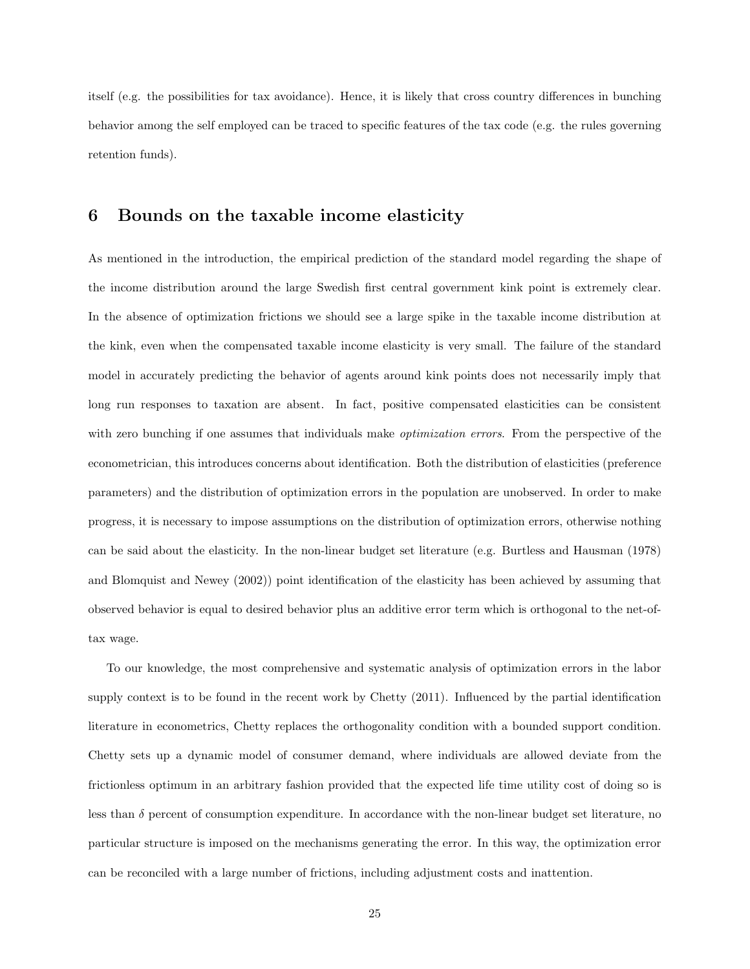itself (e.g. the possibilities for tax avoidance). Hence, it is likely that cross country differences in bunching behavior among the self employed can be traced to specific features of the tax code (e.g. the rules governing retention funds).

### 6 Bounds on the taxable income elasticity

As mentioned in the introduction, the empirical prediction of the standard model regarding the shape of the income distribution around the large Swedish first central government kink point is extremely clear. In the absence of optimization frictions we should see a large spike in the taxable income distribution at the kink, even when the compensated taxable income elasticity is very small. The failure of the standard model in accurately predicting the behavior of agents around kink points does not necessarily imply that long run responses to taxation are absent. In fact, positive compensated elasticities can be consistent with zero bunching if one assumes that individuals make *optimization errors*. From the perspective of the econometrician, this introduces concerns about identification. Both the distribution of elasticities (preference parameters) and the distribution of optimization errors in the population are unobserved. In order to make progress, it is necessary to impose assumptions on the distribution of optimization errors, otherwise nothing can be said about the elasticity. In the non-linear budget set literature (e.g. Burtless and Hausman (1978) and Blomquist and Newey (2002)) point identification of the elasticity has been achieved by assuming that observed behavior is equal to desired behavior plus an additive error term which is orthogonal to the net-oftax wage.

To our knowledge, the most comprehensive and systematic analysis of optimization errors in the labor supply context is to be found in the recent work by Chetty (2011). Influenced by the partial identification literature in econometrics, Chetty replaces the orthogonality condition with a bounded support condition. Chetty sets up a dynamic model of consumer demand, where individuals are allowed deviate from the frictionless optimum in an arbitrary fashion provided that the expected life time utility cost of doing so is less than  $\delta$  percent of consumption expenditure. In accordance with the non-linear budget set literature, no particular structure is imposed on the mechanisms generating the error. In this way, the optimization error can be reconciled with a large number of frictions, including adjustment costs and inattention.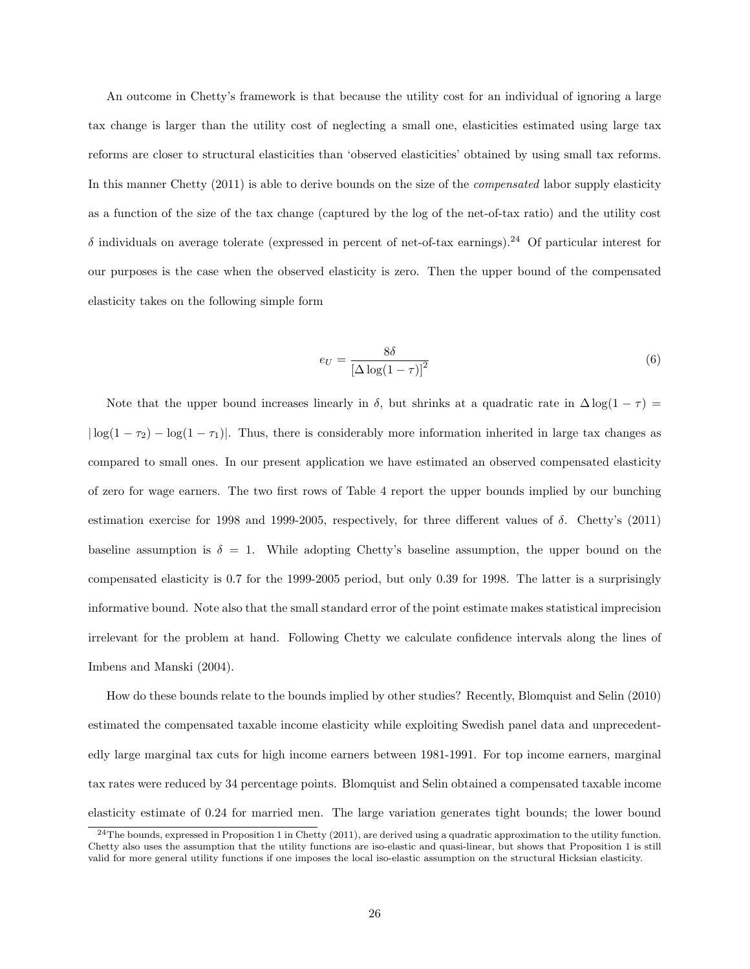An outcome in Chetty's framework is that because the utility cost for an individual of ignoring a large tax change is larger than the utility cost of neglecting a small one, elasticities estimated using large tax reforms are closer to structural elasticities than 'observed elasticities' obtained by using small tax reforms. In this manner Chetty (2011) is able to derive bounds on the size of the compensated labor supply elasticity as a function of the size of the tax change (captured by the log of the net-of-tax ratio) and the utility cost δ individuals on average tolerate (expressed in percent of net-of-tax earnings).<sup>24</sup> Of particular interest for our purposes is the case when the observed elasticity is zero. Then the upper bound of the compensated elasticity takes on the following simple form

$$
e_U = \frac{8\delta}{\left[\Delta\log(1-\tau)\right]^2} \tag{6}
$$

Note that the upper bound increases linearly in  $\delta$ , but shrinks at a quadratic rate in  $\Delta \log(1 - \tau)$  $|\log(1 - \tau_2) - \log(1 - \tau_1)|$ . Thus, there is considerably more information inherited in large tax changes as compared to small ones. In our present application we have estimated an observed compensated elasticity of zero for wage earners. The two first rows of Table 4 report the upper bounds implied by our bunching estimation exercise for 1998 and 1999-2005, respectively, for three different values of  $\delta$ . Chetty's (2011) baseline assumption is  $\delta = 1$ . While adopting Chetty's baseline assumption, the upper bound on the compensated elasticity is 0.7 for the 1999-2005 period, but only 0.39 for 1998. The latter is a surprisingly informative bound. Note also that the small standard error of the point estimate makes statistical imprecision irrelevant for the problem at hand. Following Chetty we calculate confidence intervals along the lines of Imbens and Manski (2004).

How do these bounds relate to the bounds implied by other studies? Recently, Blomquist and Selin (2010) estimated the compensated taxable income elasticity while exploiting Swedish panel data and unprecedentedly large marginal tax cuts for high income earners between 1981-1991. For top income earners, marginal tax rates were reduced by 34 percentage points. Blomquist and Selin obtained a compensated taxable income elasticity estimate of 0.24 for married men. The large variation generates tight bounds; the lower bound

 $^{24}$ The bounds, expressed in Proposition 1 in Chetty (2011), are derived using a quadratic approximation to the utility function. Chetty also uses the assumption that the utility functions are iso-elastic and quasi-linear, but shows that Proposition 1 is still valid for more general utility functions if one imposes the local iso-elastic assumption on the structural Hicksian elasticity.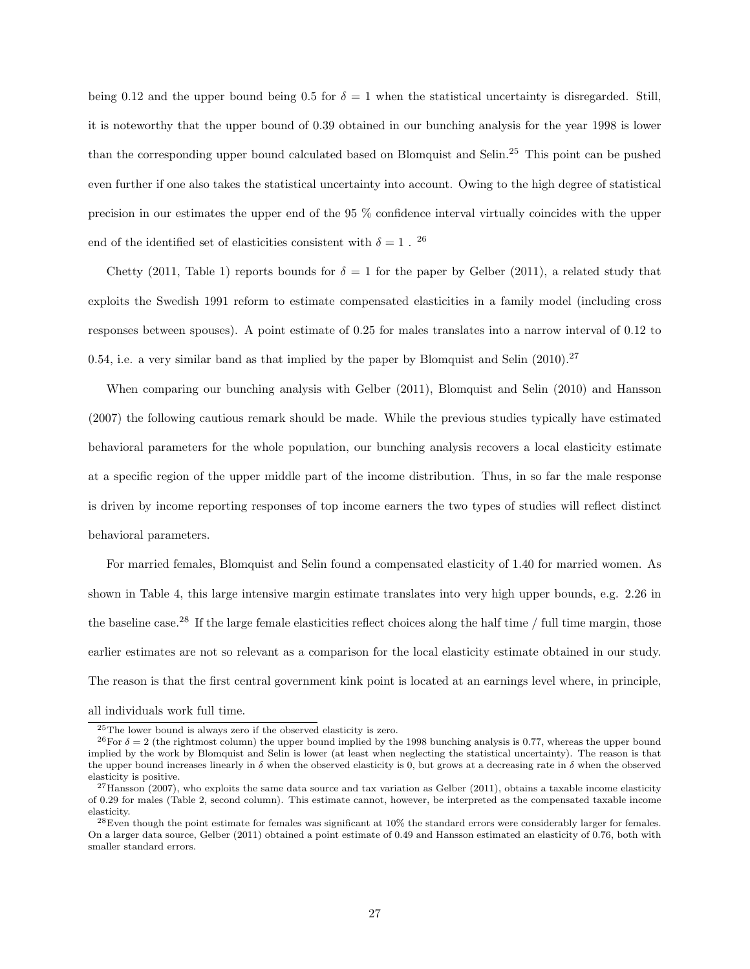being 0.12 and the upper bound being 0.5 for  $\delta = 1$  when the statistical uncertainty is disregarded. Still, it is noteworthy that the upper bound of 0.39 obtained in our bunching analysis for the year 1998 is lower than the corresponding upper bound calculated based on Blomquist and Selin.<sup>25</sup> This point can be pushed even further if one also takes the statistical uncertainty into account. Owing to the high degree of statistical precision in our estimates the upper end of the 95 % confidence interval virtually coincides with the upper end of the identified set of elasticities consistent with  $\delta=1$  .  $^{26}$ 

Chetty (2011, Table 1) reports bounds for  $\delta = 1$  for the paper by Gelber (2011), a related study that exploits the Swedish 1991 reform to estimate compensated elasticities in a family model (including cross responses between spouses). A point estimate of 0.25 for males translates into a narrow interval of 0.12 to 0.54, i.e. a very similar band as that implied by the paper by Blomquist and Selin  $(2010).^{27}$ 

When comparing our bunching analysis with Gelber (2011), Blomquist and Selin (2010) and Hansson (2007) the following cautious remark should be made. While the previous studies typically have estimated behavioral parameters for the whole population, our bunching analysis recovers a local elasticity estimate at a specific region of the upper middle part of the income distribution. Thus, in so far the male response is driven by income reporting responses of top income earners the two types of studies will reflect distinct behavioral parameters.

For married females, Blomquist and Selin found a compensated elasticity of 1.40 for married women. As shown in Table 4, this large intensive margin estimate translates into very high upper bounds, e.g. 2.26 in the baseline case.<sup>28</sup> If the large female elasticities reflect choices along the half time  $/$  full time margin, those earlier estimates are not so relevant as a comparison for the local elasticity estimate obtained in our study. The reason is that the first central government kink point is located at an earnings level where, in principle,

all individuals work full time.

<sup>25</sup>The lower bound is always zero if the observed elasticity is zero.

<sup>&</sup>lt;sup>26</sup>For  $\delta = 2$  (the rightmost column) the upper bound implied by the 1998 bunching analysis is 0.77, whereas the upper bound implied by the work by Blomquist and Selin is lower (at least when neglecting the statistical uncertainty). The reason is that the upper bound increases linearly in  $\delta$  when the observed elasticity is 0, but grows at a decreasing rate in  $\delta$  when the observed elasticity is positive.

 $^{27}$ Hansson (2007), who exploits the same data source and tax variation as Gelber (2011), obtains a taxable income elasticity of 0.29 for males (Table 2, second column). This estimate cannot, however, be interpreted as the compensated taxable income elasticity.

<sup>28</sup>Even though the point estimate for females was significant at 10% the standard errors were considerably larger for females. On a larger data source, Gelber (2011) obtained a point estimate of 0.49 and Hansson estimated an elasticity of 0.76, both with smaller standard errors.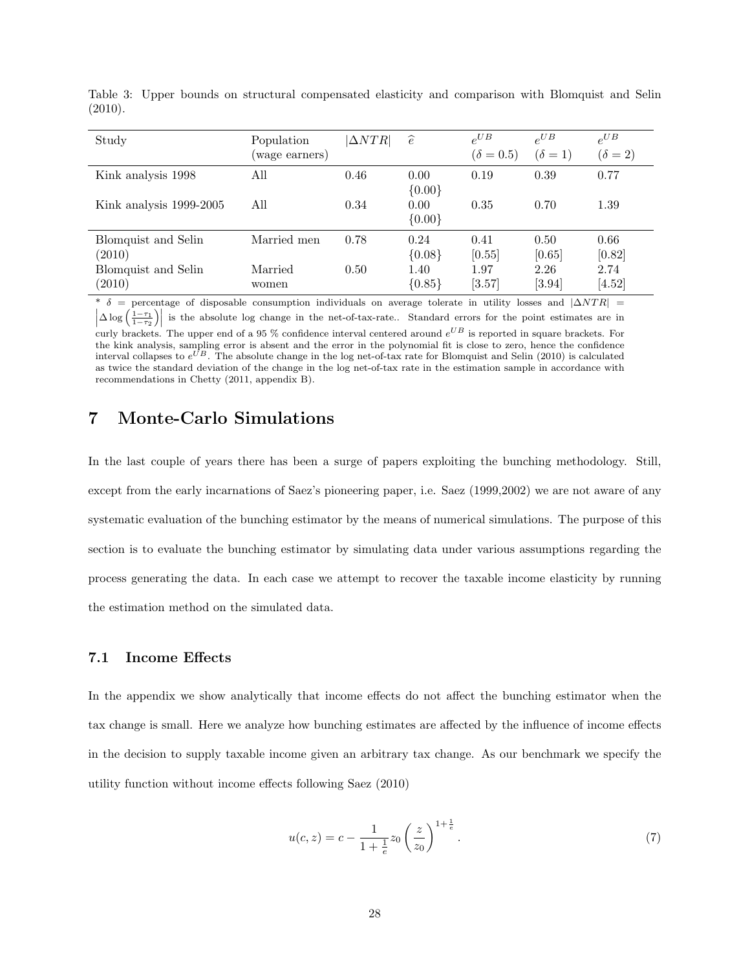| Study                         | Population<br>(wage earners) | $\triangle NTR$ | $\widehat{e}$    | $e^{UB}$<br>$(\delta = 0.5)$ | $e^{UB}$<br>$(\delta = 1)$ | $e^{UB}$<br>$(\delta=2)$ |
|-------------------------------|------------------------------|-----------------|------------------|------------------------------|----------------------------|--------------------------|
| Kink analysis 1998            | All                          | 0.46            | 0.00<br>${0.00}$ | 0.19                         | 0.39                       | 0.77                     |
| Kink analysis 1999-2005       | All                          | 0.34            | 0.00<br>${0.00}$ | 0.35                         | 0.70                       | 1.39                     |
| Blomquist and Selin<br>(2010) | Married men                  | 0.78            | 0.24<br>${0.08}$ | 0.41<br>[0.55]               | 0.50<br>[0.65]             | 0.66<br>[0.82]           |
| Blomquist and Selin<br>(2010) | Married<br>women             | 0.50            | 1.40<br>${0.85}$ | 1.97<br>$[3.57]$             | 2.26<br>$[3.94]$           | 2.74<br>$[4.52]$         |

Table 3: Upper bounds on structural compensated elasticity and comparison with Blomquist and Selin (2010).

 $\delta$  = percentage of disposable consumption individuals on average tolerate in utility losses and  $|\Delta NTR|$  =  $\left|\Delta \log \left(\frac{1-\tau_1}{1-\tau_2}\right)\right|$  is the absolute log change in the net-of-tax-rate.. Standard errors for the point estimates are in

curly brackets. The upper end of a 95 % confidence interval centered around  $e^{UB}$  is reported in square brackets. For the kink analysis, sampling error is absent and the error in the polynomial fit is close to zero, hence the confidence interval collapses to  $e^{UB}$ . The absolute change in the log net-of-tax rate for Blomquist and Selin (2010) is calculated as twice the standard deviation of the change in the log net-of-tax rate in the estimation sample in accordance with recommendations in Chetty (2011, appendix B).

### 7 Monte-Carlo Simulations

In the last couple of years there has been a surge of papers exploiting the bunching methodology. Still, except from the early incarnations of Saez's pioneering paper, i.e. Saez (1999,2002) we are not aware of any systematic evaluation of the bunching estimator by the means of numerical simulations. The purpose of this section is to evaluate the bunching estimator by simulating data under various assumptions regarding the process generating the data. In each case we attempt to recover the taxable income elasticity by running the estimation method on the simulated data.

#### 7.1 Income Effects

In the appendix we show analytically that income effects do not affect the bunching estimator when the tax change is small. Here we analyze how bunching estimates are affected by the influence of income effects in the decision to supply taxable income given an arbitrary tax change. As our benchmark we specify the utility function without income effects following Saez (2010)

$$
u(c, z) = c - \frac{1}{1 + \frac{1}{e}} z_0 \left(\frac{z}{z_0}\right)^{1 + \frac{1}{e}}.
$$
\n(7)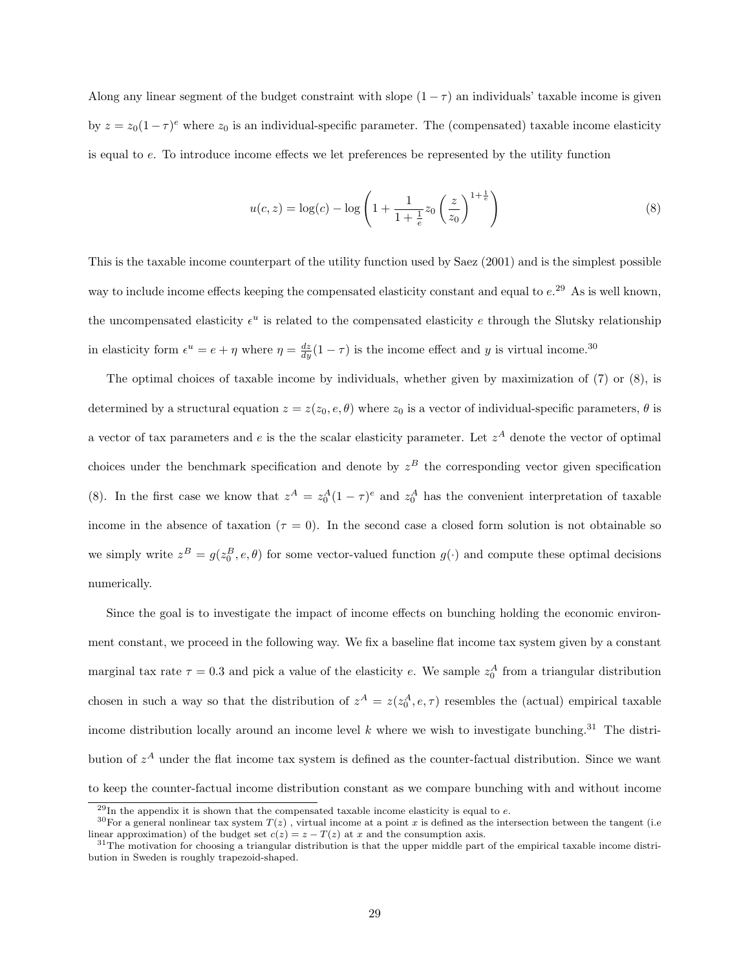Along any linear segment of the budget constraint with slope  $(1 - \tau)$  an individuals' taxable income is given by  $z = z_0(1-\tau)^e$  where  $z_0$  is an individual-specific parameter. The (compensated) taxable income elasticity is equal to e. To introduce income effects we let preferences be represented by the utility function

$$
u(c, z) = \log(c) - \log\left(1 + \frac{1}{1 + \frac{1}{e}} z_0 \left(\frac{z}{z_0}\right)^{1 + \frac{1}{e}}\right)
$$
(8)

This is the taxable income counterpart of the utility function used by Saez (2001) and is the simplest possible way to include income effects keeping the compensated elasticity constant and equal to  $e^{29}$ . As is well known, the uncompensated elasticity  $\epsilon^u$  is related to the compensated elasticity e through the Slutsky relationship in elasticity form  $\epsilon^u = e + \eta$  where  $\eta = \frac{dz}{dy}(1 - \tau)$  is the income effect and y is virtual income.<sup>30</sup>

The optimal choices of taxable income by individuals, whether given by maximization of (7) or (8), is determined by a structural equation  $z = z(z_0, e, \theta)$  where  $z_0$  is a vector of individual-specific parameters,  $\theta$  is a vector of tax parameters and e is the the scalar elasticity parameter. Let  $z^A$  denote the vector of optimal choices under the benchmark specification and denote by  $z<sup>B</sup>$  the corresponding vector given specification (8). In the first case we know that  $z^A = z_0^A (1 - \tau)^e$  and  $z_0^A$  has the convenient interpretation of taxable income in the absence of taxation ( $\tau = 0$ ). In the second case a closed form solution is not obtainable so we simply write  $z^B = g(z_0^B, e, \theta)$  for some vector-valued function  $g(\cdot)$  and compute these optimal decisions numerically.

Since the goal is to investigate the impact of income effects on bunching holding the economic environment constant, we proceed in the following way. We fix a baseline flat income tax system given by a constant marginal tax rate  $\tau = 0.3$  and pick a value of the elasticity e. We sample  $z_0^A$  from a triangular distribution chosen in such a way so that the distribution of  $z^A = z(z_0^A, e, \tau)$  resembles the (actual) empirical taxable income distribution locally around an income level  $k$  where we wish to investigate bunching.<sup>31</sup> The distribution of  $z^A$  under the flat income tax system is defined as the counter-factual distribution. Since we want to keep the counter-factual income distribution constant as we compare bunching with and without income

 $^{29}$ In the appendix it is shown that the compensated taxable income elasticity is equal to e.

 $30$ For a general nonlinear tax system  $T(z)$ , virtual income at a point x is defined as the intersection between the tangent (i.e. linear approximation) of the budget set  $c(z) = z - T(z)$  at x and the consumption axis.

 $31$ The motivation for choosing a triangular distribution is that the upper middle part of the empirical taxable income distribution in Sweden is roughly trapezoid-shaped.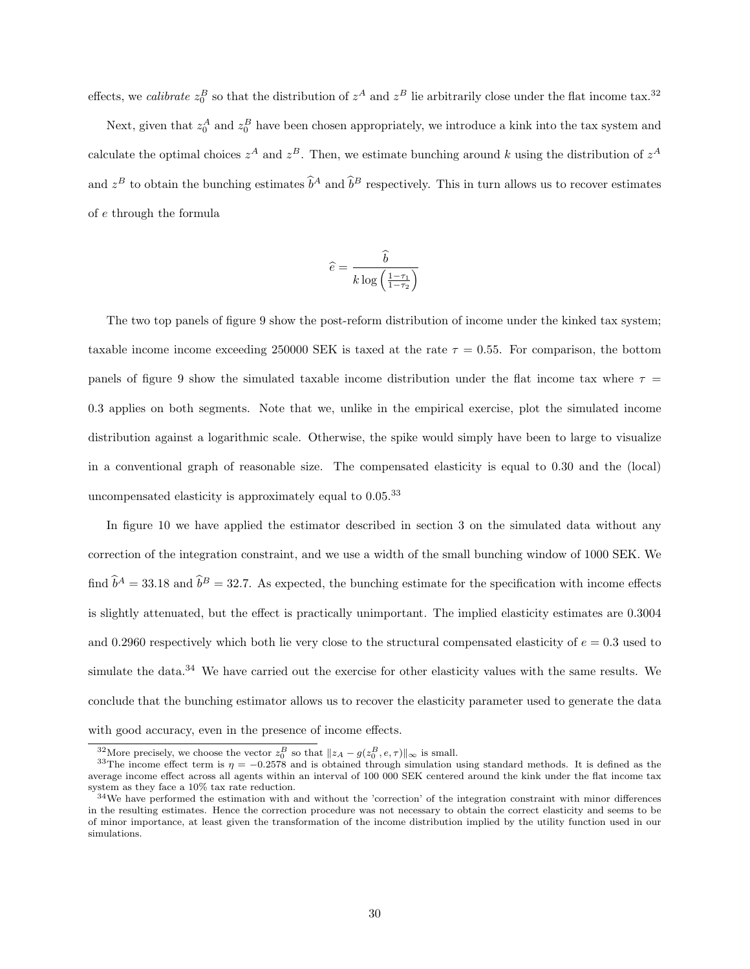effects, we *calibrate*  $z_0^B$  so that the distribution of  $z^A$  and  $z^B$  lie arbitrarily close under the flat income tax.<sup>32</sup>

Next, given that  $z_0^A$  and  $z_0^B$  have been chosen appropriately, we introduce a kink into the tax system and calculate the optimal choices  $z^A$  and  $z^B$ . Then, we estimate bunching around k using the distribution of  $z^A$ and  $z^B$  to obtain the bunching estimates  $\hat{b}^A$  and  $\hat{b}^B$  respectively. This in turn allows us to recover estimates of e through the formula

$$
\widehat{e} = \frac{\widehat{b}}{k \log\left(\frac{1-\tau_1}{1-\tau_2}\right)}
$$

The two top panels of figure 9 show the post-reform distribution of income under the kinked tax system; taxable income income exceeding 250000 SEK is taxed at the rate  $\tau = 0.55$ . For comparison, the bottom panels of figure 9 show the simulated taxable income distribution under the flat income tax where  $\tau =$ 0.3 applies on both segments. Note that we, unlike in the empirical exercise, plot the simulated income distribution against a logarithmic scale. Otherwise, the spike would simply have been to large to visualize in a conventional graph of reasonable size. The compensated elasticity is equal to 0.30 and the (local) uncompensated elasticity is approximately equal to 0.05.<sup>33</sup>

In figure 10 we have applied the estimator described in section 3 on the simulated data without any correction of the integration constraint, and we use a width of the small bunching window of 1000 SEK. We find  $\hat{b}^A = 33.18$  and  $\hat{b}^B = 32.7$ . As expected, the bunching estimate for the specification with income effects is slightly attenuated, but the effect is practically unimportant. The implied elasticity estimates are 0.3004 and 0.2960 respectively which both lie very close to the structural compensated elasticity of  $e = 0.3$  used to simulate the data.<sup>34</sup> We have carried out the exercise for other elasticity values with the same results. We conclude that the bunching estimator allows us to recover the elasticity parameter used to generate the data with good accuracy, even in the presence of income effects.

<sup>&</sup>lt;sup>32</sup>More precisely, we choose the vector  $z_0^B$  so that  $||z_A - g(z_0^B, e, \tau)||_{\infty}$  is small.

<sup>&</sup>lt;sup>33</sup>The income effect term is  $\eta = -0.2578$  and is obtained through simulation using standard methods. It is defined as the average income effect across all agents within an interval of 100 000 SEK centered around the kink under the flat income tax system as they face a 10% tax rate reduction.

 $34$ We have performed the estimation with and without the 'correction' of the integration constraint with minor differences in the resulting estimates. Hence the correction procedure was not necessary to obtain the correct elasticity and seems to be of minor importance, at least given the transformation of the income distribution implied by the utility function used in our simulations.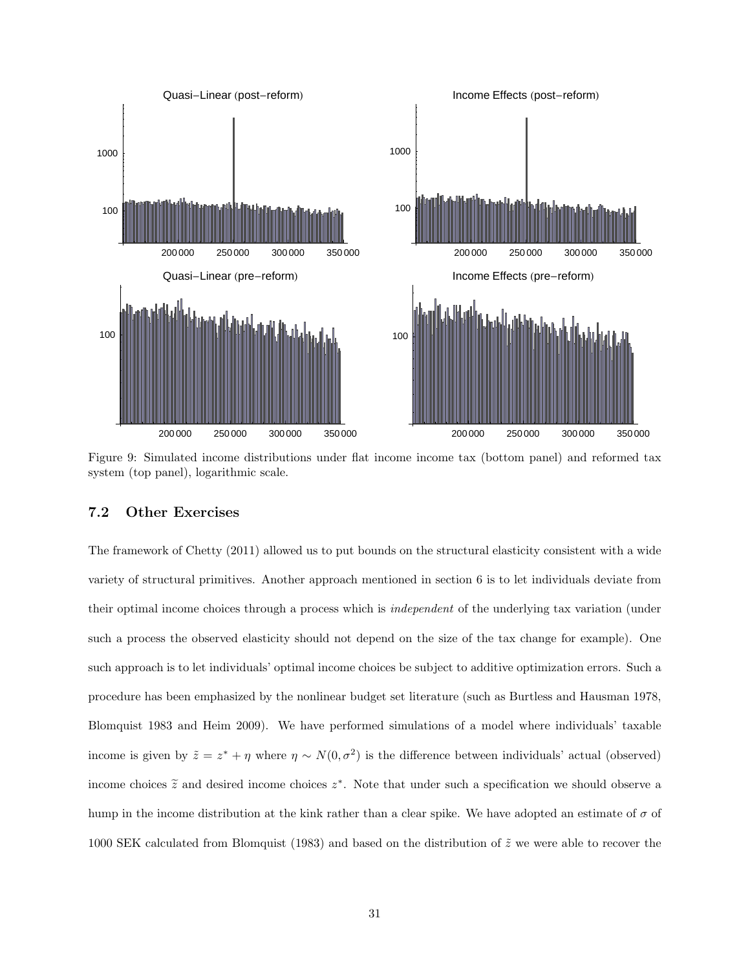

Figure 9: Simulated income distributions under flat income income tax (bottom panel) and reformed tax system (top panel), logarithmic scale.

#### 7.2 Other Exercises

The framework of Chetty (2011) allowed us to put bounds on the structural elasticity consistent with a wide variety of structural primitives. Another approach mentioned in section 6 is to let individuals deviate from their optimal income choices through a process which is independent of the underlying tax variation (under such a process the observed elasticity should not depend on the size of the tax change for example). One such approach is to let individuals' optimal income choices be subject to additive optimization errors. Such a procedure has been emphasized by the nonlinear budget set literature (such as Burtless and Hausman 1978, Blomquist 1983 and Heim 2009). We have performed simulations of a model where individuals' taxable income is given by  $\tilde{z} = z^* + \eta$  where  $\eta \sim N(0, \sigma^2)$  is the difference between individuals' actual (observed) income choices  $\tilde{z}$  and desired income choices  $z^*$ . Note that under such a specification we should observe a hump in the income distribution at the kink rather than a clear spike. We have adopted an estimate of  $\sigma$  of 1000 SEK calculated from Blomquist (1983) and based on the distribution of  $\tilde{z}$  we were able to recover the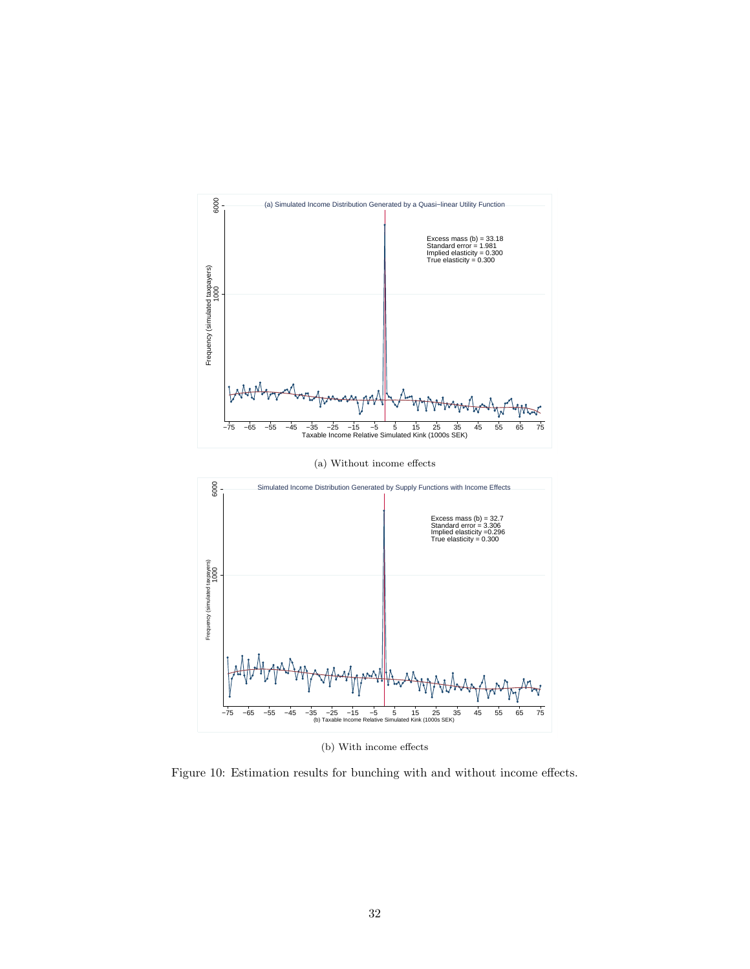

(b) With income effects

Figure 10: Estimation results for bunching with and without income effects.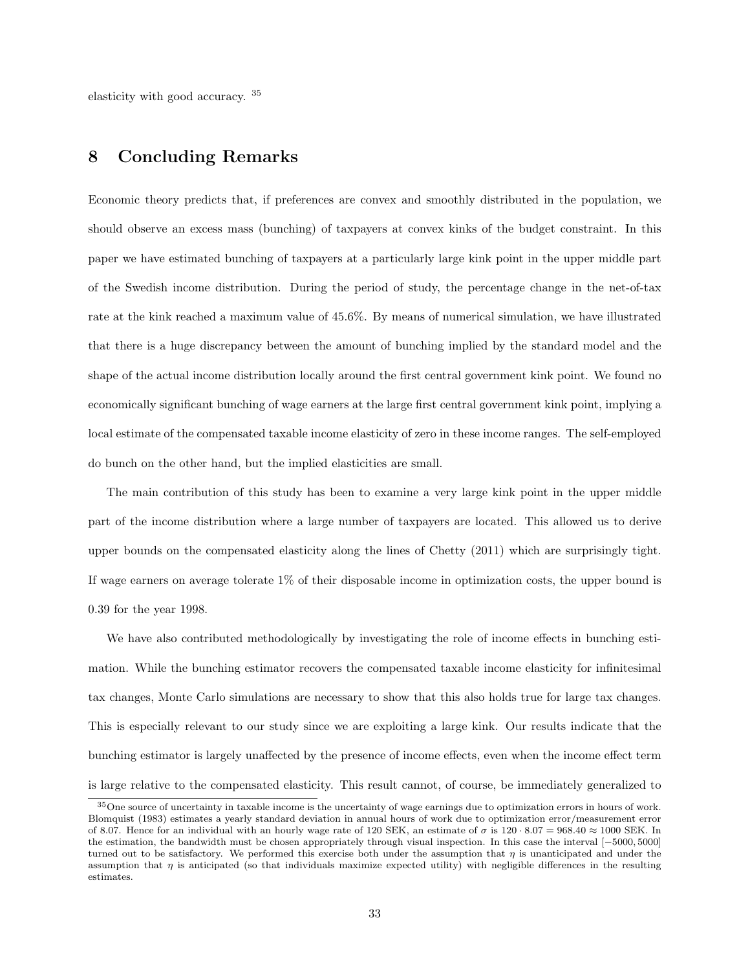elasticity with good accuracy. <sup>35</sup>

### 8 Concluding Remarks

Economic theory predicts that, if preferences are convex and smoothly distributed in the population, we should observe an excess mass (bunching) of taxpayers at convex kinks of the budget constraint. In this paper we have estimated bunching of taxpayers at a particularly large kink point in the upper middle part of the Swedish income distribution. During the period of study, the percentage change in the net-of-tax rate at the kink reached a maximum value of 45.6%. By means of numerical simulation, we have illustrated that there is a huge discrepancy between the amount of bunching implied by the standard model and the shape of the actual income distribution locally around the first central government kink point. We found no economically significant bunching of wage earners at the large first central government kink point, implying a local estimate of the compensated taxable income elasticity of zero in these income ranges. The self-employed do bunch on the other hand, but the implied elasticities are small.

The main contribution of this study has been to examine a very large kink point in the upper middle part of the income distribution where a large number of taxpayers are located. This allowed us to derive upper bounds on the compensated elasticity along the lines of Chetty (2011) which are surprisingly tight. If wage earners on average tolerate 1% of their disposable income in optimization costs, the upper bound is 0.39 for the year 1998.

We have also contributed methodologically by investigating the role of income effects in bunching estimation. While the bunching estimator recovers the compensated taxable income elasticity for infinitesimal tax changes, Monte Carlo simulations are necessary to show that this also holds true for large tax changes. This is especially relevant to our study since we are exploiting a large kink. Our results indicate that the bunching estimator is largely unaffected by the presence of income effects, even when the income effect term is large relative to the compensated elasticity. This result cannot, of course, be immediately generalized to

<sup>35</sup>One source of uncertainty in taxable income is the uncertainty of wage earnings due to optimization errors in hours of work. Blomquist (1983) estimates a yearly standard deviation in annual hours of work due to optimization error/measurement error of 8.07. Hence for an individual with an hourly wage rate of 120 SEK, an estimate of  $\sigma$  is 120 · 8.07 = 968.40  $\approx$  1000 SEK. In the estimation, the bandwidth must be chosen appropriately through visual inspection. In this case the interval [−5000, 5000] turned out to be satisfactory. We performed this exercise both under the assumption that  $\eta$  is unanticipated and under the assumption that  $\eta$  is anticipated (so that individuals maximize expected utility) with negligible differences in the resulting estimates.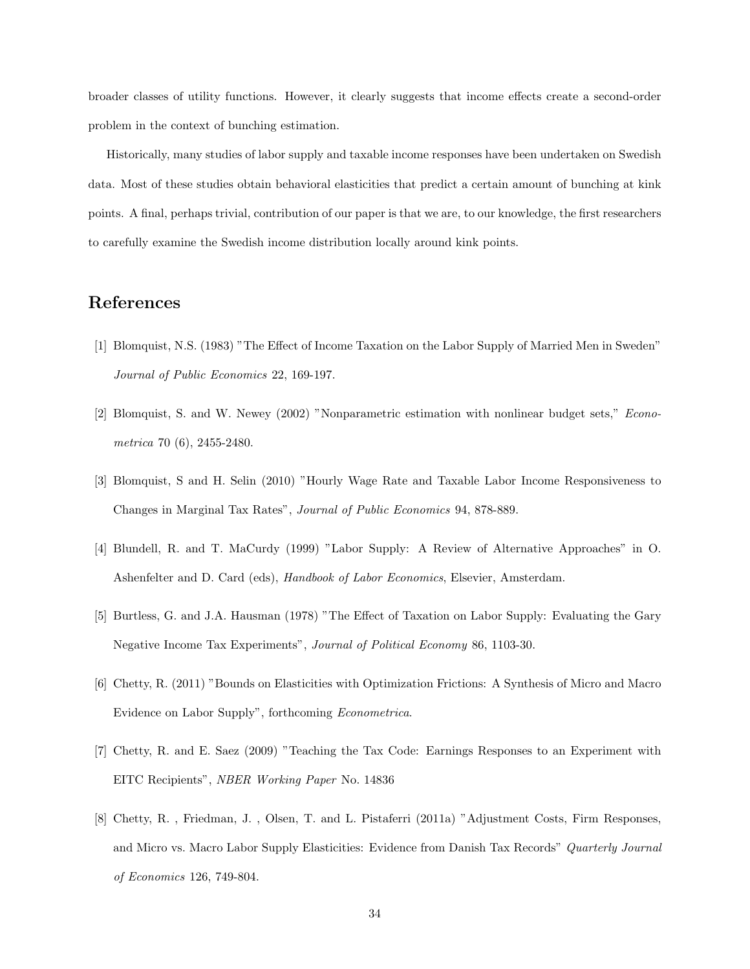broader classes of utility functions. However, it clearly suggests that income effects create a second-order problem in the context of bunching estimation.

Historically, many studies of labor supply and taxable income responses have been undertaken on Swedish data. Most of these studies obtain behavioral elasticities that predict a certain amount of bunching at kink points. A final, perhaps trivial, contribution of our paper is that we are, to our knowledge, the first researchers to carefully examine the Swedish income distribution locally around kink points.

### References

- [1] Blomquist, N.S. (1983) "The Effect of Income Taxation on the Labor Supply of Married Men in Sweden" Journal of Public Economics 22, 169-197.
- [2] Blomquist, S. and W. Newey (2002) "Nonparametric estimation with nonlinear budget sets," Econometrica 70 (6), 2455-2480.
- [3] Blomquist, S and H. Selin (2010) "Hourly Wage Rate and Taxable Labor Income Responsiveness to Changes in Marginal Tax Rates", Journal of Public Economics 94, 878-889.
- [4] Blundell, R. and T. MaCurdy (1999) "Labor Supply: A Review of Alternative Approaches" in O. Ashenfelter and D. Card (eds), Handbook of Labor Economics, Elsevier, Amsterdam.
- [5] Burtless, G. and J.A. Hausman (1978) "The Effect of Taxation on Labor Supply: Evaluating the Gary Negative Income Tax Experiments", Journal of Political Economy 86, 1103-30.
- [6] Chetty, R. (2011) "Bounds on Elasticities with Optimization Frictions: A Synthesis of Micro and Macro Evidence on Labor Supply", forthcoming Econometrica.
- [7] Chetty, R. and E. Saez (2009) "Teaching the Tax Code: Earnings Responses to an Experiment with EITC Recipients", NBER Working Paper No. 14836
- [8] Chetty, R. , Friedman, J. , Olsen, T. and L. Pistaferri (2011a) "Adjustment Costs, Firm Responses, and Micro vs. Macro Labor Supply Elasticities: Evidence from Danish Tax Records" Quarterly Journal of Economics 126, 749-804.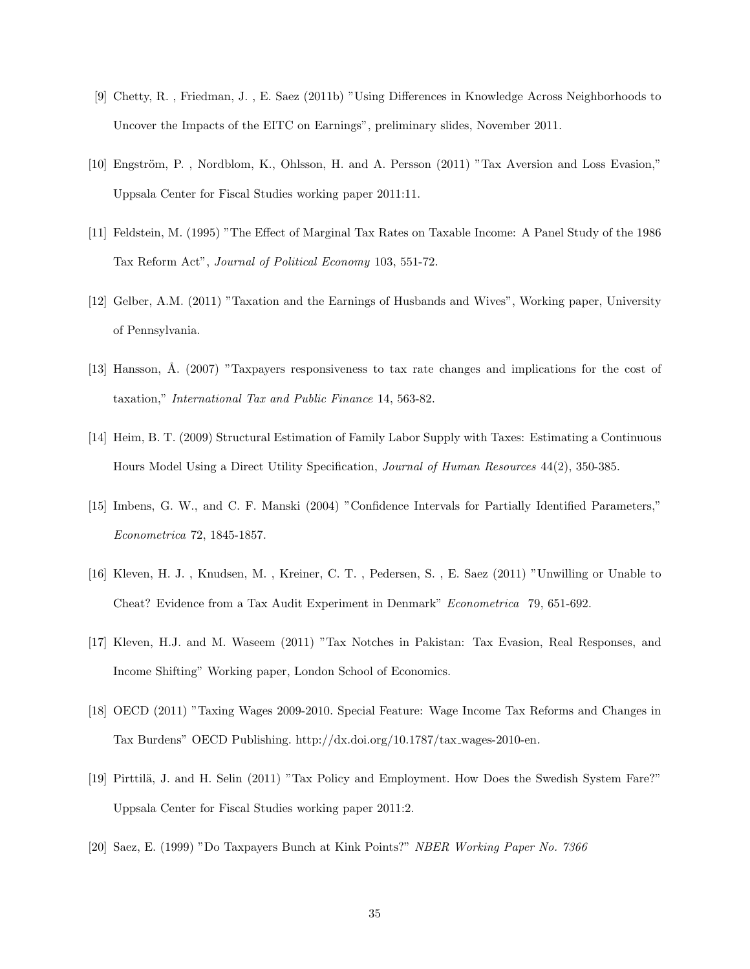- [9] Chetty, R. , Friedman, J. , E. Saez (2011b) "Using Differences in Knowledge Across Neighborhoods to Uncover the Impacts of the EITC on Earnings", preliminary slides, November 2011.
- [10] Engström, P., Nordblom, K., Ohlsson, H. and A. Persson (2011) "Tax Aversion and Loss Evasion," Uppsala Center for Fiscal Studies working paper 2011:11.
- [11] Feldstein, M. (1995) "The Effect of Marginal Tax Rates on Taxable Income: A Panel Study of the 1986 Tax Reform Act", Journal of Political Economy 103, 551-72.
- [12] Gelber, A.M. (2011) "Taxation and the Earnings of Husbands and Wives", Working paper, University of Pennsylvania.
- [13] Hansson, Å. (2007) "Taxpayers responsiveness to tax rate changes and implications for the cost of taxation," International Tax and Public Finance 14, 563-82.
- [14] Heim, B. T. (2009) Structural Estimation of Family Labor Supply with Taxes: Estimating a Continuous Hours Model Using a Direct Utility Specification, Journal of Human Resources 44(2), 350-385.
- [15] Imbens, G. W., and C. F. Manski (2004) "Confidence Intervals for Partially Identified Parameters," Econometrica 72, 1845-1857.
- [16] Kleven, H. J. , Knudsen, M. , Kreiner, C. T. , Pedersen, S. , E. Saez (2011) "Unwilling or Unable to Cheat? Evidence from a Tax Audit Experiment in Denmark" Econometrica 79, 651-692.
- [17] Kleven, H.J. and M. Waseem (2011) "Tax Notches in Pakistan: Tax Evasion, Real Responses, and Income Shifting" Working paper, London School of Economics.
- [18] OECD (2011) "Taxing Wages 2009-2010. Special Feature: Wage Income Tax Reforms and Changes in Tax Burdens" OECD Publishing. http://dx.doi.org/10.1787/tax wages-2010-en.
- [19] Pirttilä, J. and H. Selin (2011) "Tax Policy and Employment. How Does the Swedish System Fare?" Uppsala Center for Fiscal Studies working paper 2011:2.
- [20] Saez, E. (1999) "Do Taxpayers Bunch at Kink Points?" NBER Working Paper No. 7366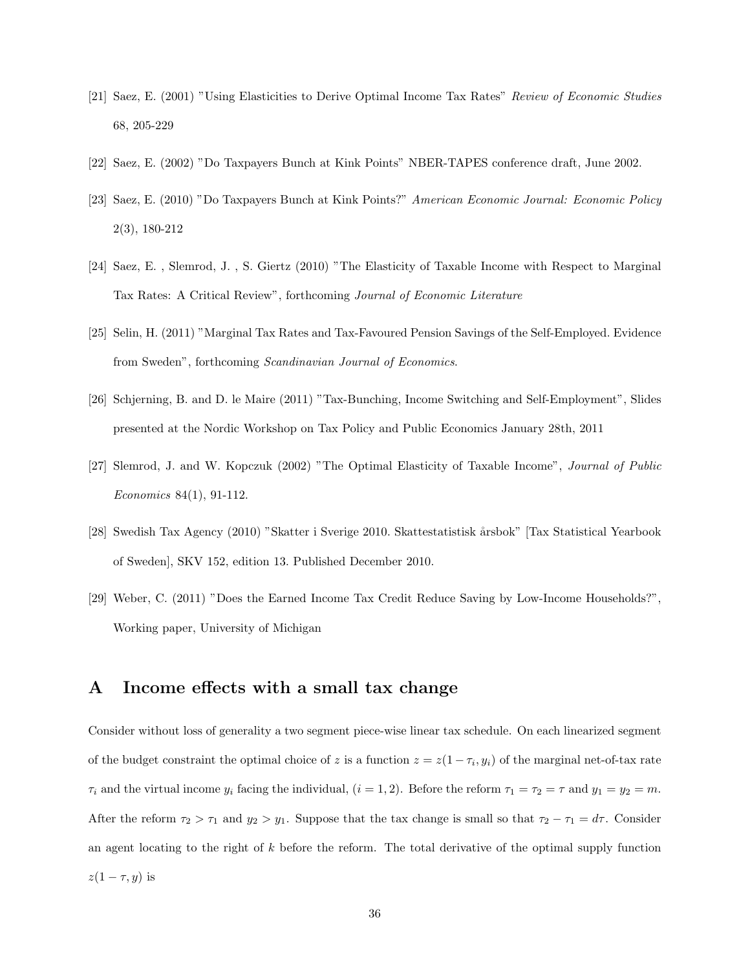- [21] Saez, E. (2001) "Using Elasticities to Derive Optimal Income Tax Rates" Review of Economic Studies 68, 205-229
- [22] Saez, E. (2002) "Do Taxpayers Bunch at Kink Points" NBER-TAPES conference draft, June 2002.
- [23] Saez, E. (2010) "Do Taxpayers Bunch at Kink Points?" American Economic Journal: Economic Policy 2(3), 180-212
- [24] Saez, E. , Slemrod, J. , S. Giertz (2010) "The Elasticity of Taxable Income with Respect to Marginal Tax Rates: A Critical Review", forthcoming Journal of Economic Literature
- [25] Selin, H. (2011) "Marginal Tax Rates and Tax-Favoured Pension Savings of the Self-Employed. Evidence from Sweden", forthcoming Scandinavian Journal of Economics.
- [26] Schjerning, B. and D. le Maire (2011) "Tax-Bunching, Income Switching and Self-Employment", Slides presented at the Nordic Workshop on Tax Policy and Public Economics January 28th, 2011
- [27] Slemrod, J. and W. Kopczuk (2002) "The Optimal Elasticity of Taxable Income", Journal of Public Economics 84(1), 91-112.
- [28] Swedish Tax Agency (2010) "Skatter i Sverige 2010. Skattestatistisk ˚arsbok" [Tax Statistical Yearbook of Sweden], SKV 152, edition 13. Published December 2010.
- [29] Weber, C. (2011) "Does the Earned Income Tax Credit Reduce Saving by Low-Income Households?", Working paper, University of Michigan

### A Income effects with a small tax change

Consider without loss of generality a two segment piece-wise linear tax schedule. On each linearized segment of the budget constraint the optimal choice of z is a function  $z = z(1 - \tau_i, y_i)$  of the marginal net-of-tax rate  $\tau_i$  and the virtual income  $y_i$  facing the individual,  $(i = 1, 2)$ . Before the reform  $\tau_1 = \tau_2 = \tau$  and  $y_1 = y_2 = m$ . After the reform  $\tau_2 > \tau_1$  and  $y_2 > y_1$ . Suppose that the tax change is small so that  $\tau_2 - \tau_1 = d\tau$ . Consider an agent locating to the right of  $k$  before the reform. The total derivative of the optimal supply function  $z(1-\tau, y)$  is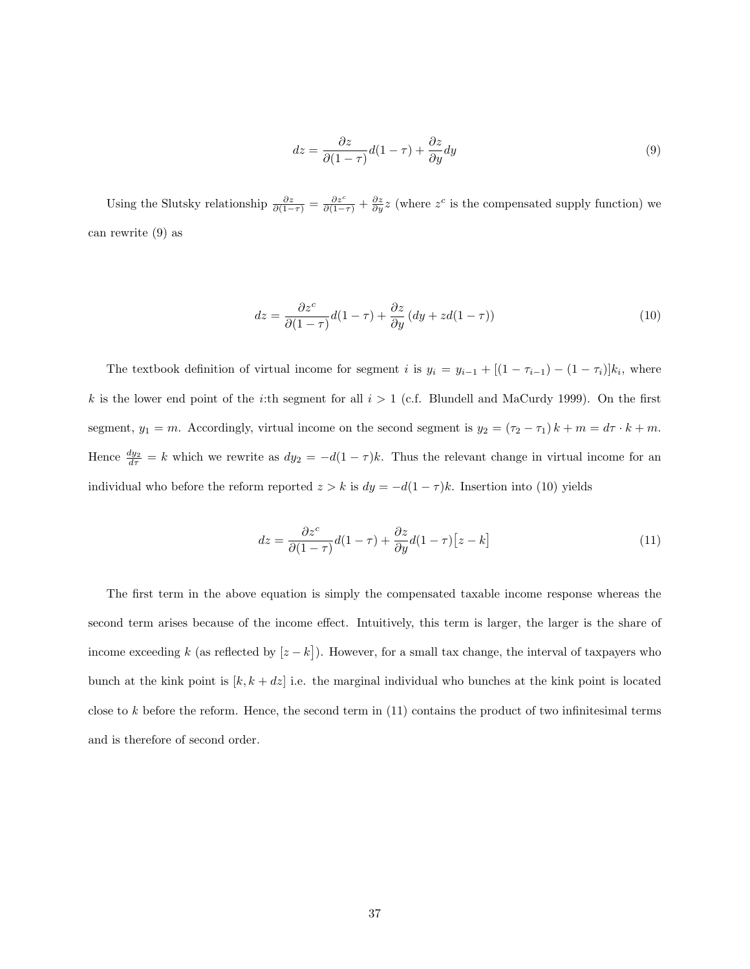$$
dz = \frac{\partial z}{\partial (1 - \tau)} d(1 - \tau) + \frac{\partial z}{\partial y} dy
$$
\n(9)

Using the Slutsky relationship  $\frac{\partial z}{\partial (1-\tau)} = \frac{\partial z^c}{\partial (1-\tau)} + \frac{\partial z}{\partial y}z$  (where  $z^c$  is the compensated supply function) we can rewrite (9) as

$$
dz = \frac{\partial z^{c}}{\partial (1 - \tau)} d(1 - \tau) + \frac{\partial z}{\partial y} (dy + zd(1 - \tau))
$$
\n(10)

The textbook definition of virtual income for segment i is  $y_i = y_{i-1} + [(1 - \tau_{i-1}) - (1 - \tau_i)]k_i$ , where k is the lower end point of the *i*:th segment for all  $i > 1$  (c.f. Blundell and MaCurdy 1999). On the first segment,  $y_1 = m$ . Accordingly, virtual income on the second segment is  $y_2 = (\tau_2 - \tau_1) k + m = d\tau \cdot k + m$ . Hence  $\frac{dy_2}{d\tau} = k$  which we rewrite as  $dy_2 = -d(1-\tau)k$ . Thus the relevant change in virtual income for an individual who before the reform reported  $z > k$  is  $dy = -d(1 - \tau)k$ . Insertion into (10) yields

$$
dz = \frac{\partial z^{c}}{\partial (1 - \tau)} d(1 - \tau) + \frac{\partial z}{\partial y} d(1 - \tau) [z - k]
$$
\n(11)

The first term in the above equation is simply the compensated taxable income response whereas the second term arises because of the income effect. Intuitively, this term is larger, the larger is the share of income exceeding k (as reflected by  $[z - k]$ ). However, for a small tax change, the interval of taxpayers who bunch at the kink point is  $[k, k + dz]$  i.e. the marginal individual who bunches at the kink point is located close to k before the reform. Hence, the second term in (11) contains the product of two infinitesimal terms and is therefore of second order.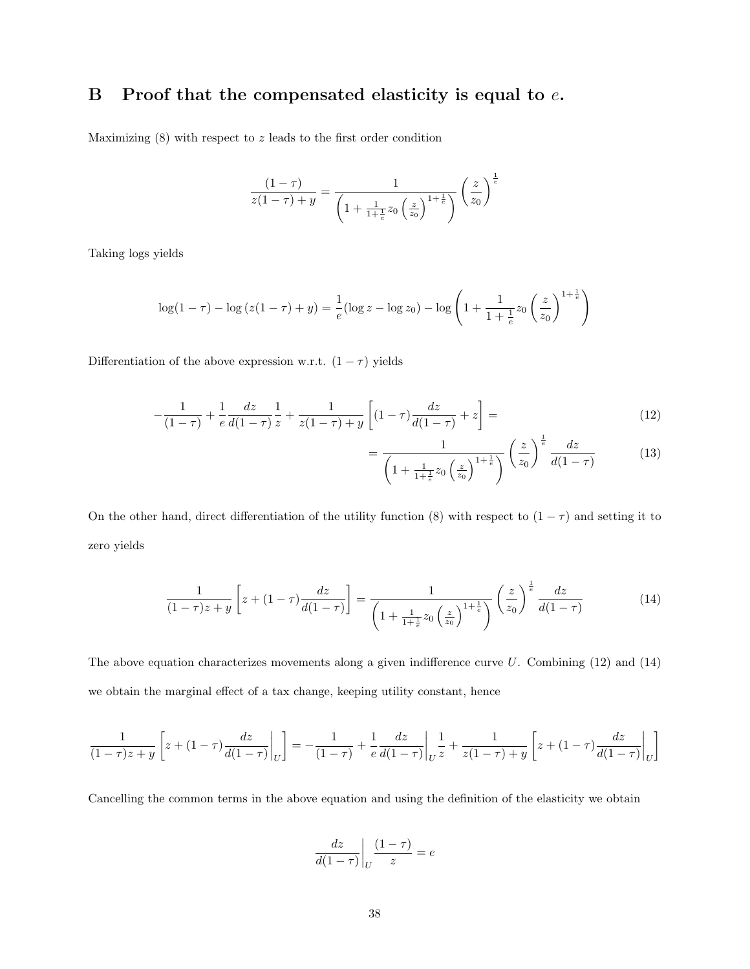### B Proof that the compensated elasticity is equal to  $e$ .

Maximizing  $(8)$  with respect to z leads to the first order condition

$$
\frac{(1-\tau)}{z(1-\tau)+y} = \frac{1}{\left(1+\frac{1}{1+\frac{1}{e}}z_0\left(\frac{z}{z_0}\right)^{1+\frac{1}{e}}\right)}\left(\frac{z}{z_0}\right)^{\frac{1}{e}}
$$

Taking logs yields

$$
\log(1-\tau) - \log(z(1-\tau) + y) = \frac{1}{e}(\log z - \log z_0) - \log\left(1 + \frac{1}{1+\frac{1}{e}}z_0\left(\frac{z}{z_0}\right)^{1+\frac{1}{e}}\right)
$$

Differentiation of the above expression w.r.t.  $(1 - \tau)$  yields

$$
-\frac{1}{(1-\tau)} + \frac{1}{e} \frac{dz}{d(1-\tau)} \frac{1}{z} + \frac{1}{z(1-\tau) + y} \left[ (1-\tau) \frac{dz}{d(1-\tau)} + z \right] = \tag{12}
$$

$$
=\frac{1}{\left(1+\frac{1}{1+\frac{1}{e}}z_0\left(\frac{z}{z_0}\right)^{1+\frac{1}{e}}\right)}\left(\frac{z}{z_0}\right)^{\frac{1}{e}}\frac{dz}{d(1-\tau)}
$$
(13)

On the other hand, direct differentiation of the utility function (8) with respect to  $(1 - \tau)$  and setting it to zero yields

$$
\frac{1}{(1-\tau)z+y}\left[z+(1-\tau)\frac{dz}{d(1-\tau)}\right] = \frac{1}{\left(1+\frac{1}{1+\frac{1}{e}}z_0\left(\frac{z}{z_0}\right)^{1+\frac{1}{e}}\right)}\left(\frac{z}{z_0}\right)^{\frac{1}{e}}\frac{dz}{d(1-\tau)}
$$
(14)

The above equation characterizes movements along a given indifference curve  $U$ . Combining (12) and (14) we obtain the marginal effect of a tax change, keeping utility constant, hence

$$
\frac{1}{(1-\tau)z+y} \left[ z + (1-\tau) \frac{dz}{d(1-\tau)} \bigg|_U \right] = -\frac{1}{(1-\tau)} + \frac{1}{e} \frac{dz}{d(1-\tau)} \bigg|_U \frac{1}{z} + \frac{1}{z(1-\tau)+y} \left[ z + (1-\tau) \frac{dz}{d(1-\tau)} \bigg|_U \right]
$$

Cancelling the common terms in the above equation and using the definition of the elasticity we obtain

$$
\frac{dz}{d(1-\tau)}\bigg|_U \frac{(1-\tau)}{z} = e
$$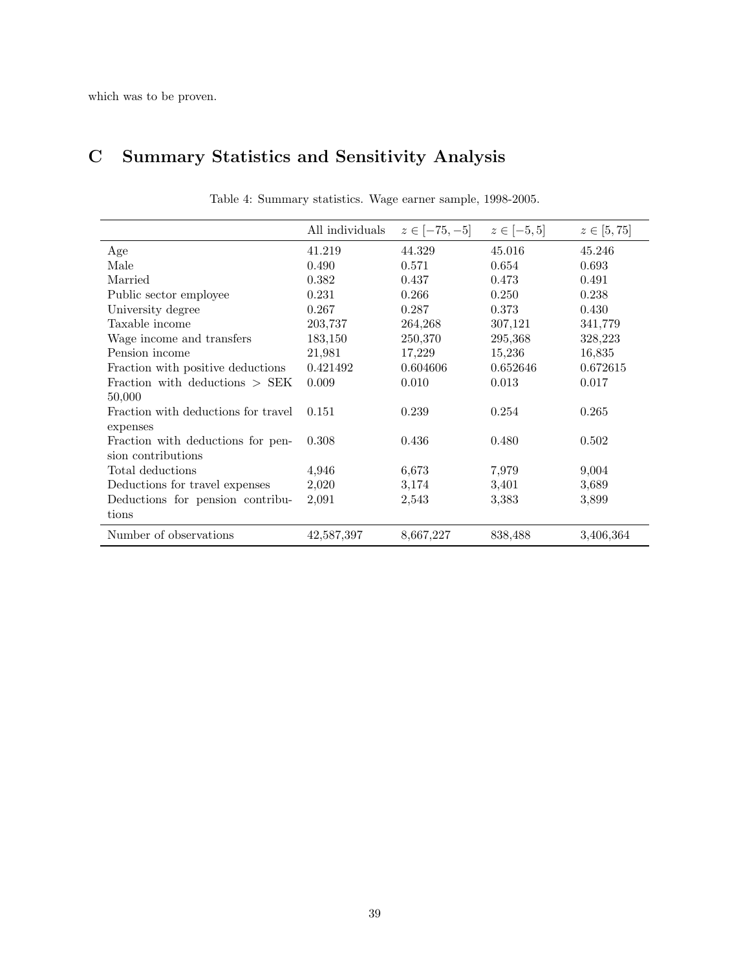# C Summary Statistics and Sensitivity Analysis

|                                     | All individuals | $z \in [-75, -5]$ | $z \in [-5, 5]$ | $z \in [5, 75]$ |
|-------------------------------------|-----------------|-------------------|-----------------|-----------------|
| Age                                 | 41.219          | 44.329            | 45.016          | 45.246          |
| Male                                | 0.490           | 0.571             | 0.654           | 0.693           |
| Married                             | 0.382           | 0.437             | 0.473           | 0.491           |
| Public sector employee              | 0.231           | 0.266             | 0.250           | 0.238           |
| University degree                   | 0.267           | 0.287             | 0.373           | 0.430           |
| Taxable income                      | 203,737         | 264,268           | 307,121         | 341,779         |
| Wage income and transfers           | 183,150         | 250,370           | 295,368         | 328,223         |
| Pension income                      | 21,981          | 17,229            | 15,236          | 16,835          |
| Fraction with positive deductions   | 0.421492        | 0.604606          | 0.652646        | 0.672615        |
| Fraction with deductions $>$ SEK    | 0.009           | 0.010             | 0.013           | 0.017           |
| 50,000                              |                 |                   |                 |                 |
| Fraction with deductions for travel | 0.151           | 0.239             | 0.254           | 0.265           |
| expenses                            |                 |                   |                 |                 |
| Fraction with deductions for pen-   | 0.308           | 0.436             | 0.480           | 0.502           |
| sion contributions                  |                 |                   |                 |                 |
| Total deductions                    | 4,946           | 6,673             | 7,979           | 9,004           |
| Deductions for travel expenses      | 2,020           | 3,174             | 3,401           | 3,689           |
| Deductions for pension contribu-    | 2,091           | 2,543             | 3,383           | 3,899           |
| tions                               |                 |                   |                 |                 |
| Number of observations              | 42,587,397      | 8,667,227         | 838,488         | 3,406,364       |

Table 4: Summary statistics. Wage earner sample, 1998-2005.